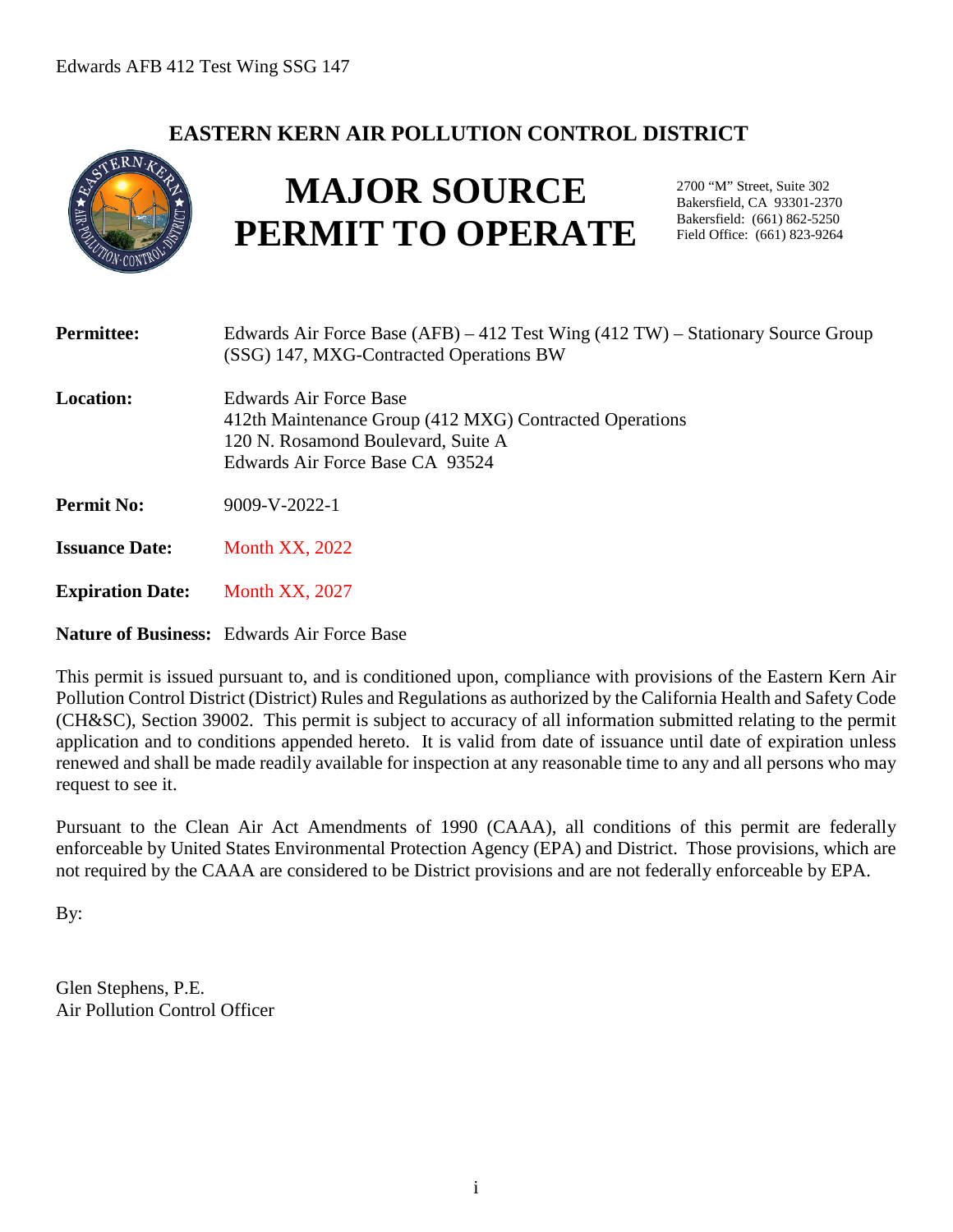# **EASTERN KERN AIR POLLUTION CONTROL DISTRICT**



# **MAJOR SOURCE PERMIT TO OPERATE**

2700 "M" Street, Suite 302 Bakersfield, CA 93301-2370 Bakersfield: (661) 862-5250 Field Office: (661) 823-9264

| <b>Permittee:</b>       | Edwards Air Force Base $(AFB) - 412$ Test Wing $(412 TW)$ – Stationary Source Group<br>(SSG) 147, MXG-Contracted Operations BW                             |
|-------------------------|------------------------------------------------------------------------------------------------------------------------------------------------------------|
| <b>Location:</b>        | Edwards Air Force Base<br>412th Maintenance Group (412 MXG) Contracted Operations<br>120 N. Rosamond Boulevard, Suite A<br>Edwards Air Force Base CA 93524 |
| <b>Permit No:</b>       | $9009-V-2022-1$                                                                                                                                            |
| <b>Issuance Date:</b>   | <b>Month XX, 2022</b>                                                                                                                                      |
| <b>Expiration Date:</b> | <b>Month XX, 2027</b>                                                                                                                                      |
|                         | <b>Nature of Business:</b> Edwards Air Force Base                                                                                                          |

This permit is issued pursuant to, and is conditioned upon, compliance with provisions of the Eastern Kern Air Pollution Control District (District) Rules and Regulations as authorized by the California Health and Safety Code (CH&SC), Section 39002. This permit is subject to accuracy of all information submitted relating to the permit application and to conditions appended hereto. It is valid from date of issuance until date of expiration unless renewed and shall be made readily available for inspection at any reasonable time to any and all persons who may request to see it.

Pursuant to the Clean Air Act Amendments of 1990 (CAAA), all conditions of this permit are federally enforceable by United States Environmental Protection Agency (EPA) and District. Those provisions, which are not required by the CAAA are considered to be District provisions and are not federally enforceable by EPA.

By:

Glen Stephens, P.E. Air Pollution Control Officer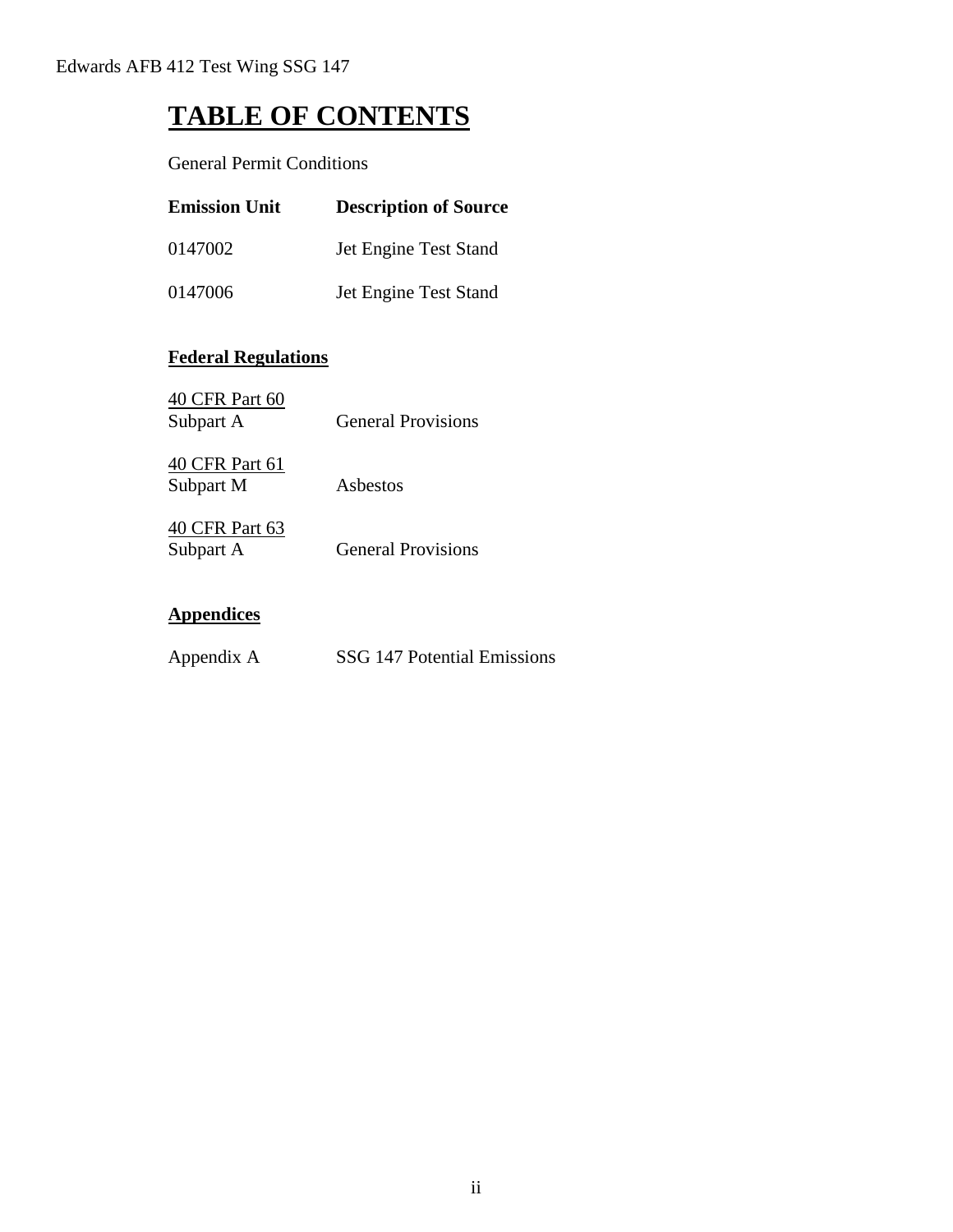# **TABLE OF CONTENTS**

General Permit Conditions

| <b>Emission Unit</b> | <b>Description of Source</b> |
|----------------------|------------------------------|
| 0147002              | Jet Engine Test Stand        |
| 0147006              | Jet Engine Test Stand        |

# **Federal Regulations**

| <b>General Provisions</b> |
|---------------------------|
|                           |
| Asbestos                  |
|                           |
| <b>General Provisions</b> |
|                           |

# **Appendices**

| Appendix A | SSG 147 Potential Emissions |
|------------|-----------------------------|
|------------|-----------------------------|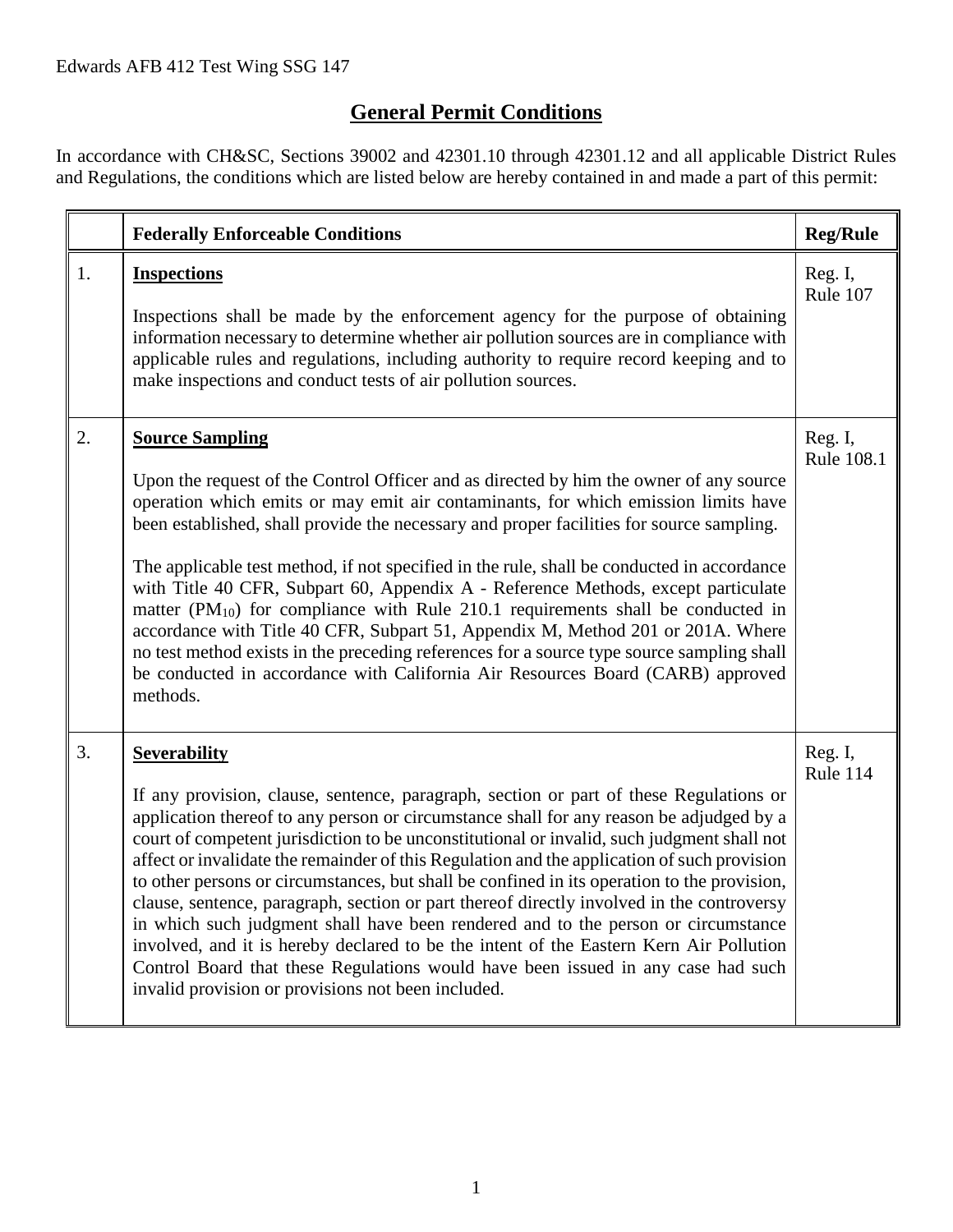# **General Permit Conditions**

In accordance with CH&SC, Sections 39002 and 42301.10 through 42301.12 and all applicable District Rules and Regulations, the conditions which are listed below are hereby contained in and made a part of this permit:

|    | <b>Federally Enforceable Conditions</b>                                                                                                                                                                                                                                                                                                                                                                                                                                                                                                                                                                                                                                                                                                                                                                                                                                                                                    | <b>Reg/Rule</b>       |
|----|----------------------------------------------------------------------------------------------------------------------------------------------------------------------------------------------------------------------------------------------------------------------------------------------------------------------------------------------------------------------------------------------------------------------------------------------------------------------------------------------------------------------------------------------------------------------------------------------------------------------------------------------------------------------------------------------------------------------------------------------------------------------------------------------------------------------------------------------------------------------------------------------------------------------------|-----------------------|
| 1. | <b>Inspections</b><br>Inspections shall be made by the enforcement agency for the purpose of obtaining<br>information necessary to determine whether air pollution sources are in compliance with<br>applicable rules and regulations, including authority to require record keeping and to<br>make inspections and conduct tests of air pollution sources.                                                                                                                                                                                                                                                                                                                                                                                                                                                                                                                                                                | Reg. I,<br>Rule 107   |
| 2. | <b>Source Sampling</b><br>Upon the request of the Control Officer and as directed by him the owner of any source<br>operation which emits or may emit air contaminants, for which emission limits have<br>been established, shall provide the necessary and proper facilities for source sampling.<br>The applicable test method, if not specified in the rule, shall be conducted in accordance<br>with Title 40 CFR, Subpart 60, Appendix A - Reference Methods, except particulate<br>matter $(PM_{10})$ for compliance with Rule 210.1 requirements shall be conducted in<br>accordance with Title 40 CFR, Subpart 51, Appendix M, Method 201 or 201A. Where<br>no test method exists in the preceding references for a source type source sampling shall<br>be conducted in accordance with California Air Resources Board (CARB) approved<br>methods.                                                                | Reg. I,<br>Rule 108.1 |
| 3. | <b>Severability</b><br>If any provision, clause, sentence, paragraph, section or part of these Regulations or<br>application thereof to any person or circumstance shall for any reason be adjudged by a<br>court of competent jurisdiction to be unconstitutional or invalid, such judgment shall not<br>affect or invalidate the remainder of this Regulation and the application of such provision<br>to other persons or circumstances, but shall be confined in its operation to the provision,<br>clause, sentence, paragraph, section or part thereof directly involved in the controversy<br>in which such judgment shall have been rendered and to the person or circumstance<br>involved, and it is hereby declared to be the intent of the Eastern Kern Air Pollution<br>Control Board that these Regulations would have been issued in any case had such<br>invalid provision or provisions not been included. | Reg. I,<br>Rule 114   |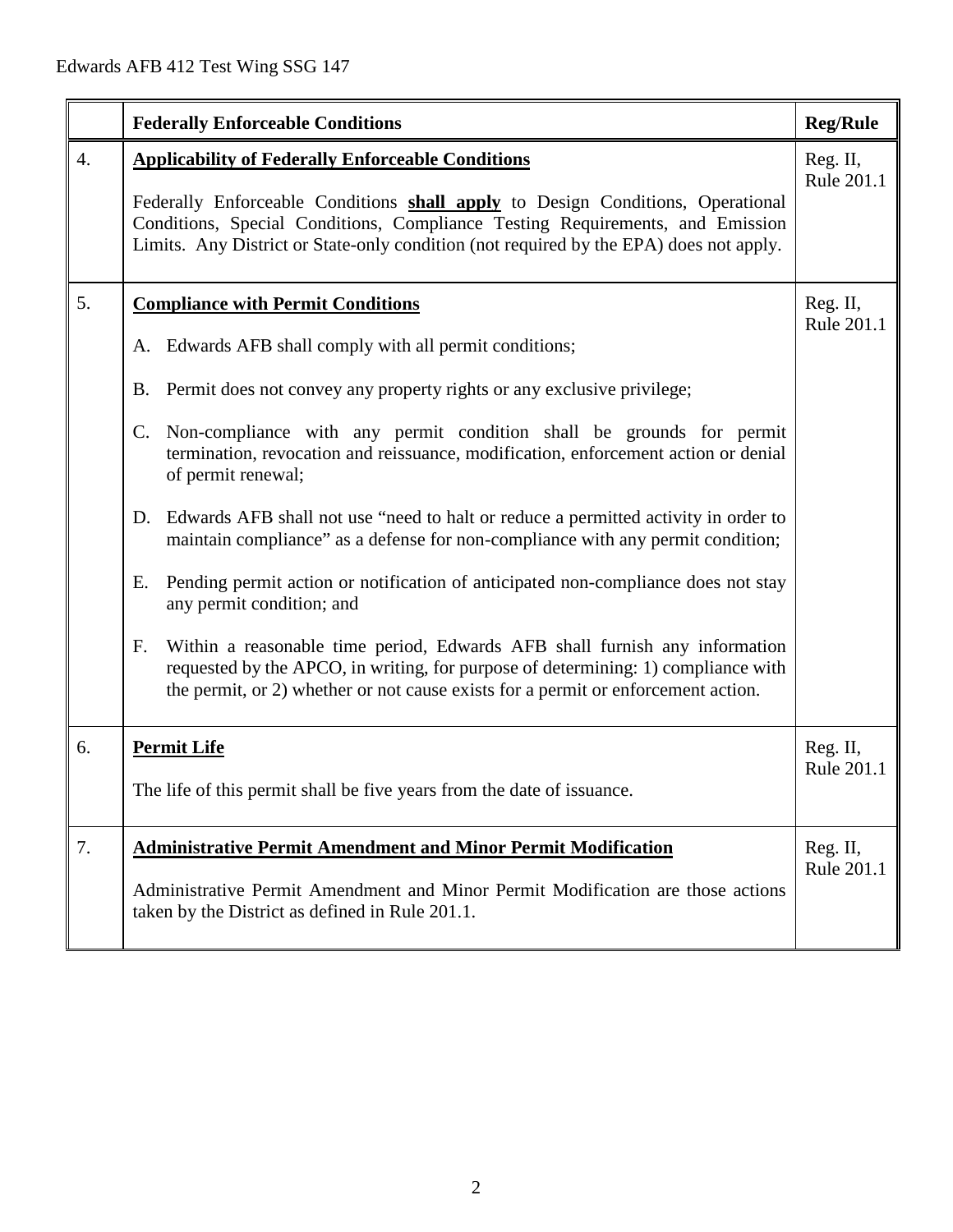|                  | <b>Federally Enforceable Conditions</b>                                                                                                                                                                                                                                                                                                                                                                                                                                                                                                                                                                                                                                                                                                                                                                                                                                                                                                      | <b>Reg/Rule</b>        |
|------------------|----------------------------------------------------------------------------------------------------------------------------------------------------------------------------------------------------------------------------------------------------------------------------------------------------------------------------------------------------------------------------------------------------------------------------------------------------------------------------------------------------------------------------------------------------------------------------------------------------------------------------------------------------------------------------------------------------------------------------------------------------------------------------------------------------------------------------------------------------------------------------------------------------------------------------------------------|------------------------|
| $\overline{4}$ . | <b>Applicability of Federally Enforceable Conditions</b><br>Federally Enforceable Conditions shall apply to Design Conditions, Operational<br>Conditions, Special Conditions, Compliance Testing Requirements, and Emission<br>Limits. Any District or State-only condition (not required by the EPA) does not apply.                                                                                                                                                                                                                                                                                                                                                                                                                                                                                                                                                                                                                        | Reg. II,<br>Rule 201.1 |
| 5.               | <b>Compliance with Permit Conditions</b><br>A. Edwards AFB shall comply with all permit conditions;<br>B. Permit does not convey any property rights or any exclusive privilege;<br>C. Non-compliance with any permit condition shall be grounds for permit<br>termination, revocation and reissuance, modification, enforcement action or denial<br>of permit renewal;<br>Edwards AFB shall not use "need to halt or reduce a permitted activity in order to<br>D.<br>maintain compliance" as a defense for non-compliance with any permit condition;<br>Pending permit action or notification of anticipated non-compliance does not stay<br>Ε.<br>any permit condition; and<br>Within a reasonable time period, Edwards AFB shall furnish any information<br>F.<br>requested by the APCO, in writing, for purpose of determining: 1) compliance with<br>the permit, or 2) whether or not cause exists for a permit or enforcement action. | Reg. II,<br>Rule 201.1 |
| 6.               | <b>Permit Life</b><br>The life of this permit shall be five years from the date of issuance.                                                                                                                                                                                                                                                                                                                                                                                                                                                                                                                                                                                                                                                                                                                                                                                                                                                 | Reg. II,<br>Rule 201.1 |
| 7.               | <b>Administrative Permit Amendment and Minor Permit Modification</b><br>Administrative Permit Amendment and Minor Permit Modification are those actions<br>taken by the District as defined in Rule 201.1.                                                                                                                                                                                                                                                                                                                                                                                                                                                                                                                                                                                                                                                                                                                                   | Reg. II,<br>Rule 201.1 |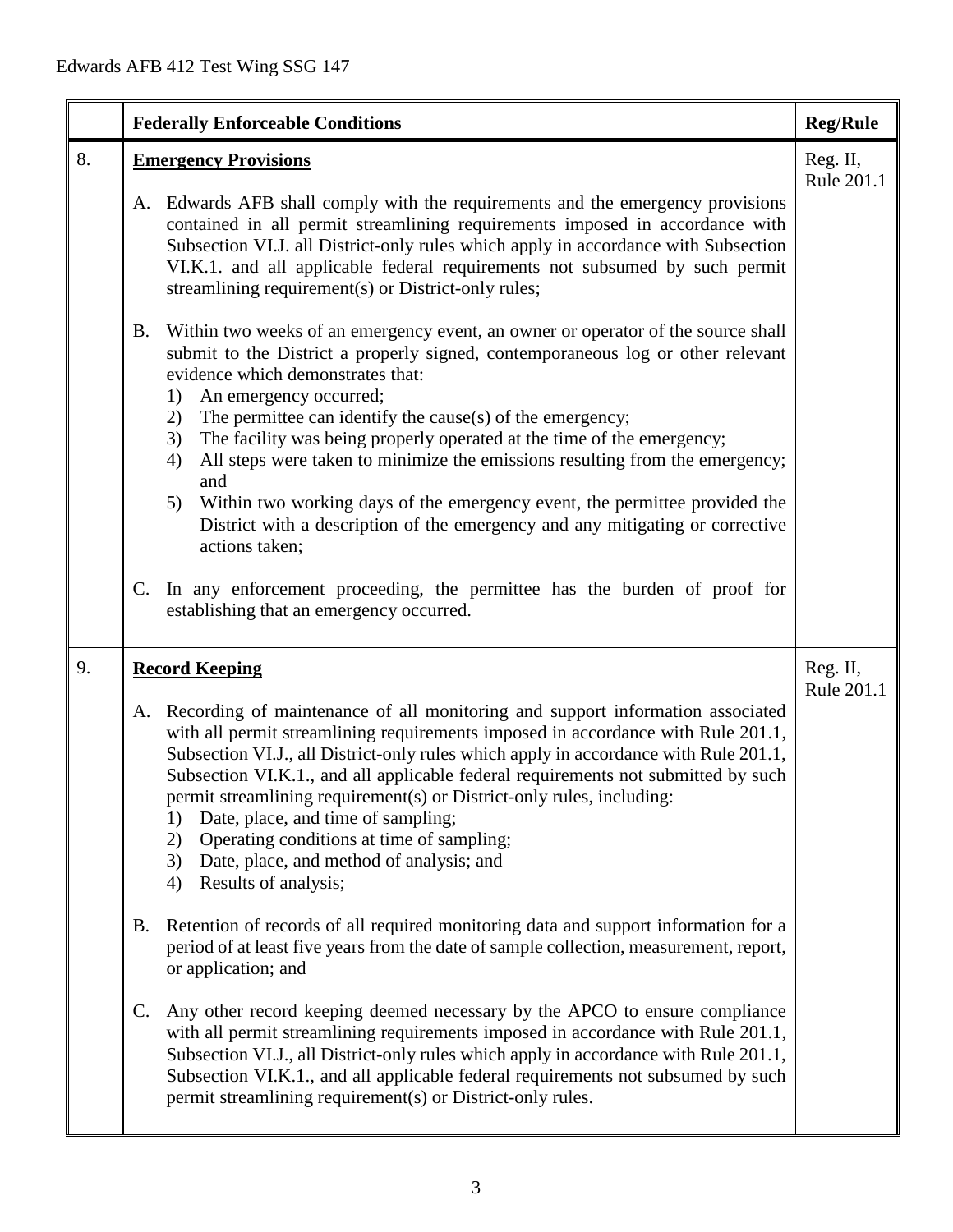|    | <b>Federally Enforceable Conditions</b>                                                                                                                                                                                                                                                                                                                                                                                                                                                                                                                                                                      | <b>Reg/Rule</b>        |
|----|--------------------------------------------------------------------------------------------------------------------------------------------------------------------------------------------------------------------------------------------------------------------------------------------------------------------------------------------------------------------------------------------------------------------------------------------------------------------------------------------------------------------------------------------------------------------------------------------------------------|------------------------|
| 8. | <b>Emergency Provisions</b>                                                                                                                                                                                                                                                                                                                                                                                                                                                                                                                                                                                  | Reg. II,<br>Rule 201.1 |
|    | Edwards AFB shall comply with the requirements and the emergency provisions<br>A.<br>contained in all permit streamlining requirements imposed in accordance with<br>Subsection VI.J. all District-only rules which apply in accordance with Subsection<br>VI.K.1. and all applicable federal requirements not subsumed by such permit<br>streamlining requirement(s) or District-only rules;                                                                                                                                                                                                                |                        |
|    | Within two weeks of an emergency event, an owner or operator of the source shall<br><b>B.</b><br>submit to the District a properly signed, contemporaneous log or other relevant<br>evidence which demonstrates that:<br>An emergency occurred;<br>1)                                                                                                                                                                                                                                                                                                                                                        |                        |
|    | The permittee can identify the cause(s) of the emergency;<br>2)<br>The facility was being properly operated at the time of the emergency;<br>3)<br>All steps were taken to minimize the emissions resulting from the emergency;<br>4)<br>and                                                                                                                                                                                                                                                                                                                                                                 |                        |
|    | Within two working days of the emergency event, the permittee provided the<br>5)<br>District with a description of the emergency and any mitigating or corrective<br>actions taken;                                                                                                                                                                                                                                                                                                                                                                                                                          |                        |
|    | In any enforcement proceeding, the permittee has the burden of proof for<br>C.<br>establishing that an emergency occurred.                                                                                                                                                                                                                                                                                                                                                                                                                                                                                   |                        |
| 9. | <b>Record Keeping</b>                                                                                                                                                                                                                                                                                                                                                                                                                                                                                                                                                                                        | Reg. II,<br>Rule 201.1 |
|    | Recording of maintenance of all monitoring and support information associated<br>A.<br>with all permit streamlining requirements imposed in accordance with Rule 201.1,<br>Subsection VI.J., all District-only rules which apply in accordance with Rule 201.1,<br>Subsection VI.K.1., and all applicable federal requirements not submitted by such<br>permit streamlining requirement(s) or District-only rules, including:<br>Date, place, and time of sampling;<br>1)<br>Operating conditions at time of sampling;<br>2)<br>Date, place, and method of analysis; and<br>3)<br>Results of analysis;<br>4) |                        |
|    | Retention of records of all required monitoring data and support information for a<br><b>B.</b><br>period of at least five years from the date of sample collection, measurement, report,<br>or application; and                                                                                                                                                                                                                                                                                                                                                                                             |                        |
|    | Any other record keeping deemed necessary by the APCO to ensure compliance<br>C.<br>with all permit streamlining requirements imposed in accordance with Rule 201.1,<br>Subsection VI.J., all District-only rules which apply in accordance with Rule 201.1,<br>Subsection VI.K.1., and all applicable federal requirements not subsumed by such<br>permit streamlining requirement(s) or District-only rules.                                                                                                                                                                                               |                        |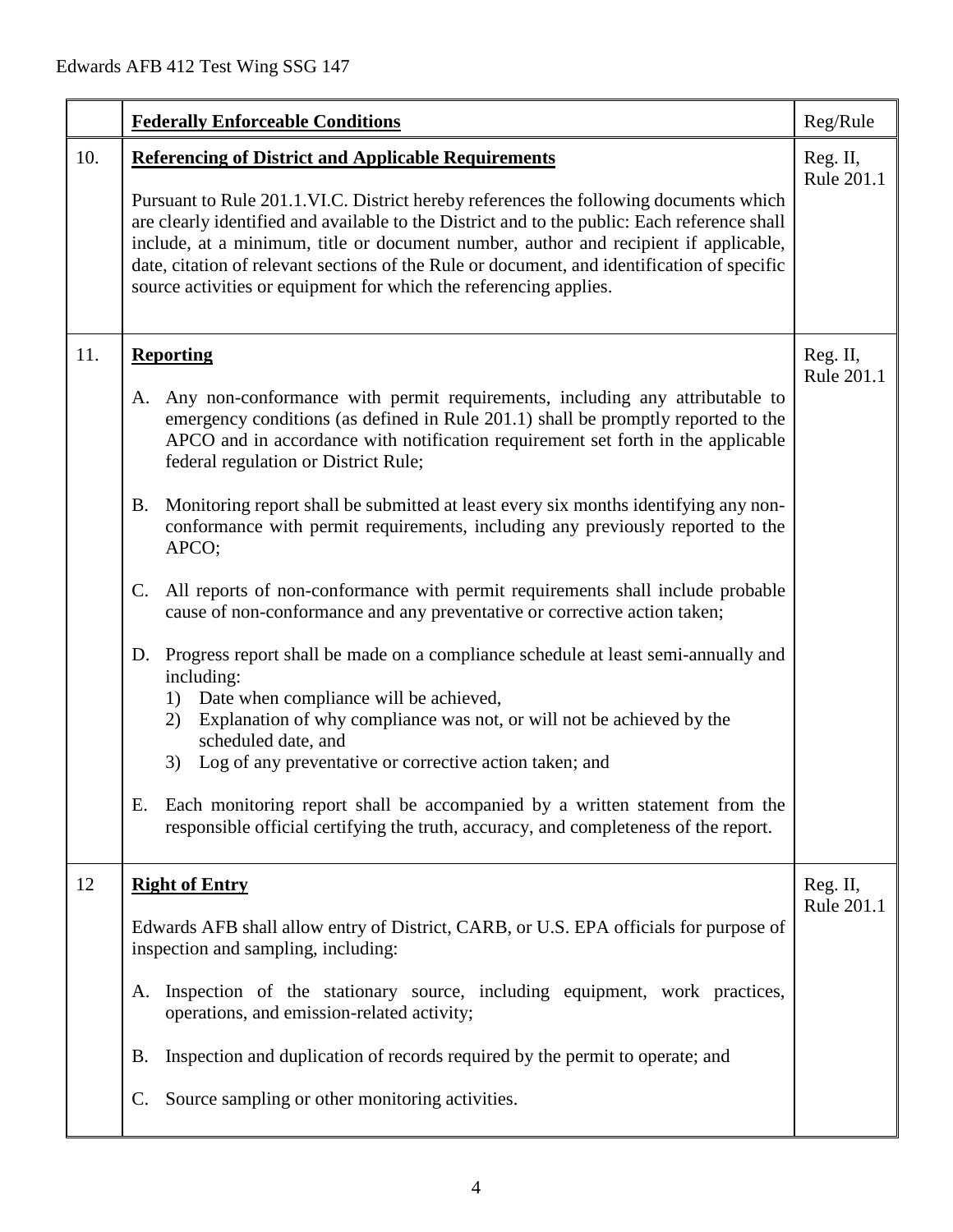|     | <b>Federally Enforceable Conditions</b>                                                                                                                                                                                                                                                                                                                                                                                                                                                                                                                                                                                                                                                                                                                                                                                                                                                                                                                                                                                                                                                                                                                                                                          | Reg/Rule               |
|-----|------------------------------------------------------------------------------------------------------------------------------------------------------------------------------------------------------------------------------------------------------------------------------------------------------------------------------------------------------------------------------------------------------------------------------------------------------------------------------------------------------------------------------------------------------------------------------------------------------------------------------------------------------------------------------------------------------------------------------------------------------------------------------------------------------------------------------------------------------------------------------------------------------------------------------------------------------------------------------------------------------------------------------------------------------------------------------------------------------------------------------------------------------------------------------------------------------------------|------------------------|
| 10. | <b>Referencing of District and Applicable Requirements</b><br>Pursuant to Rule 201.1.VI.C. District hereby references the following documents which<br>are clearly identified and available to the District and to the public: Each reference shall<br>include, at a minimum, title or document number, author and recipient if applicable,<br>date, citation of relevant sections of the Rule or document, and identification of specific<br>source activities or equipment for which the referencing applies.                                                                                                                                                                                                                                                                                                                                                                                                                                                                                                                                                                                                                                                                                                  | Reg. II,<br>Rule 201.1 |
| 11. | <b>Reporting</b><br>Any non-conformance with permit requirements, including any attributable to<br>Α.<br>emergency conditions (as defined in Rule 201.1) shall be promptly reported to the<br>APCO and in accordance with notification requirement set forth in the applicable<br>federal regulation or District Rule;<br>Monitoring report shall be submitted at least every six months identifying any non-<br><b>B.</b><br>conformance with permit requirements, including any previously reported to the<br>APCO;<br>All reports of non-conformance with permit requirements shall include probable<br>$\mathsf{C}$ .<br>cause of non-conformance and any preventative or corrective action taken;<br>D. Progress report shall be made on a compliance schedule at least semi-annually and<br>including:<br>Date when compliance will be achieved,<br>1)<br>Explanation of why compliance was not, or will not be achieved by the<br>2)<br>scheduled date, and<br>Log of any preventative or corrective action taken; and<br>3)<br>Each monitoring report shall be accompanied by a written statement from the<br>Е.<br>responsible official certifying the truth, accuracy, and completeness of the report. | Reg. II,<br>Rule 201.1 |
| 12  | <b>Right of Entry</b><br>Edwards AFB shall allow entry of District, CARB, or U.S. EPA officials for purpose of<br>inspection and sampling, including:<br>Inspection of the stationary source, including equipment, work practices,<br>A.<br>operations, and emission-related activity;<br>Inspection and duplication of records required by the permit to operate; and<br>В.<br>Source sampling or other monitoring activities.<br>$\mathbb{C}$ .                                                                                                                                                                                                                                                                                                                                                                                                                                                                                                                                                                                                                                                                                                                                                                | Reg. II,<br>Rule 201.1 |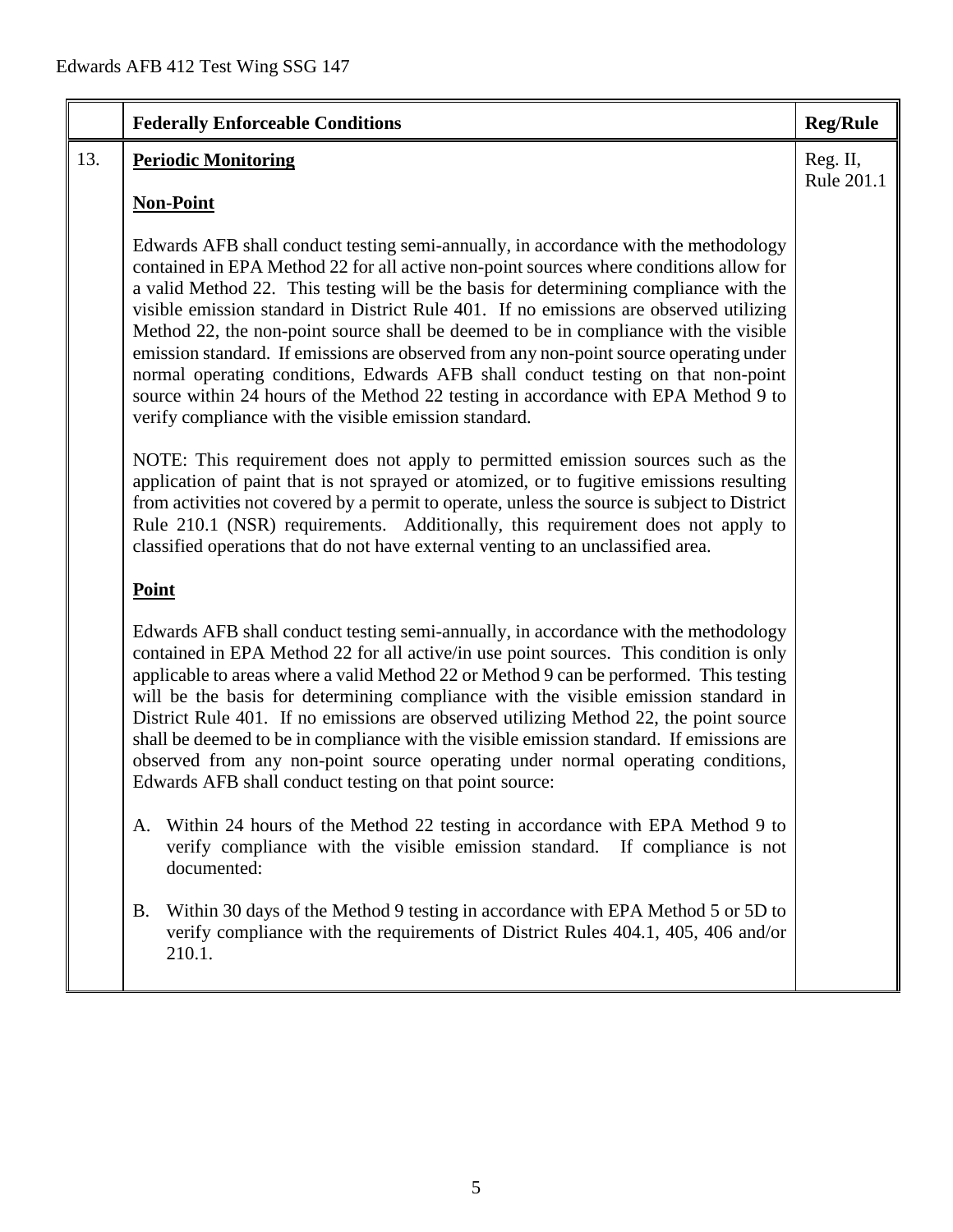|     | <b>Federally Enforceable Conditions</b>                                                                                                                                                                                                                                                                                                                                                                                                                                                                                                                                                                                                                                                                                                                                               | <b>Reg/Rule</b>        |
|-----|---------------------------------------------------------------------------------------------------------------------------------------------------------------------------------------------------------------------------------------------------------------------------------------------------------------------------------------------------------------------------------------------------------------------------------------------------------------------------------------------------------------------------------------------------------------------------------------------------------------------------------------------------------------------------------------------------------------------------------------------------------------------------------------|------------------------|
| 13. | <b>Periodic Monitoring</b>                                                                                                                                                                                                                                                                                                                                                                                                                                                                                                                                                                                                                                                                                                                                                            | Reg. II,<br>Rule 201.1 |
|     | <b>Non-Point</b>                                                                                                                                                                                                                                                                                                                                                                                                                                                                                                                                                                                                                                                                                                                                                                      |                        |
|     | Edwards AFB shall conduct testing semi-annually, in accordance with the methodology<br>contained in EPA Method 22 for all active non-point sources where conditions allow for<br>a valid Method 22. This testing will be the basis for determining compliance with the<br>visible emission standard in District Rule 401. If no emissions are observed utilizing<br>Method 22, the non-point source shall be deemed to be in compliance with the visible<br>emission standard. If emissions are observed from any non-point source operating under<br>normal operating conditions, Edwards AFB shall conduct testing on that non-point<br>source within 24 hours of the Method 22 testing in accordance with EPA Method 9 to<br>verify compliance with the visible emission standard. |                        |
|     | NOTE: This requirement does not apply to permitted emission sources such as the<br>application of paint that is not sprayed or atomized, or to fugitive emissions resulting<br>from activities not covered by a permit to operate, unless the source is subject to District<br>Rule 210.1 (NSR) requirements. Additionally, this requirement does not apply to<br>classified operations that do not have external venting to an unclassified area.                                                                                                                                                                                                                                                                                                                                    |                        |
|     | <b>Point</b>                                                                                                                                                                                                                                                                                                                                                                                                                                                                                                                                                                                                                                                                                                                                                                          |                        |
|     | Edwards AFB shall conduct testing semi-annually, in accordance with the methodology<br>contained in EPA Method 22 for all active/in use point sources. This condition is only<br>applicable to areas where a valid Method 22 or Method 9 can be performed. This testing<br>will be the basis for determining compliance with the visible emission standard in<br>District Rule 401. If no emissions are observed utilizing Method 22, the point source<br>shall be deemed to be in compliance with the visible emission standard. If emissions are<br>observed from any non-point source operating under normal operating conditions,<br>Edwards AFB shall conduct testing on that point source:                                                                                      |                        |
|     | A. Within 24 hours of the Method 22 testing in accordance with EPA Method 9 to<br>verify compliance with the visible emission standard.<br>If compliance is not<br>documented:                                                                                                                                                                                                                                                                                                                                                                                                                                                                                                                                                                                                        |                        |
|     | Within 30 days of the Method 9 testing in accordance with EPA Method 5 or 5D to<br>Β.<br>verify compliance with the requirements of District Rules 404.1, 405, 406 and/or<br>210.1.                                                                                                                                                                                                                                                                                                                                                                                                                                                                                                                                                                                                   |                        |
|     |                                                                                                                                                                                                                                                                                                                                                                                                                                                                                                                                                                                                                                                                                                                                                                                       |                        |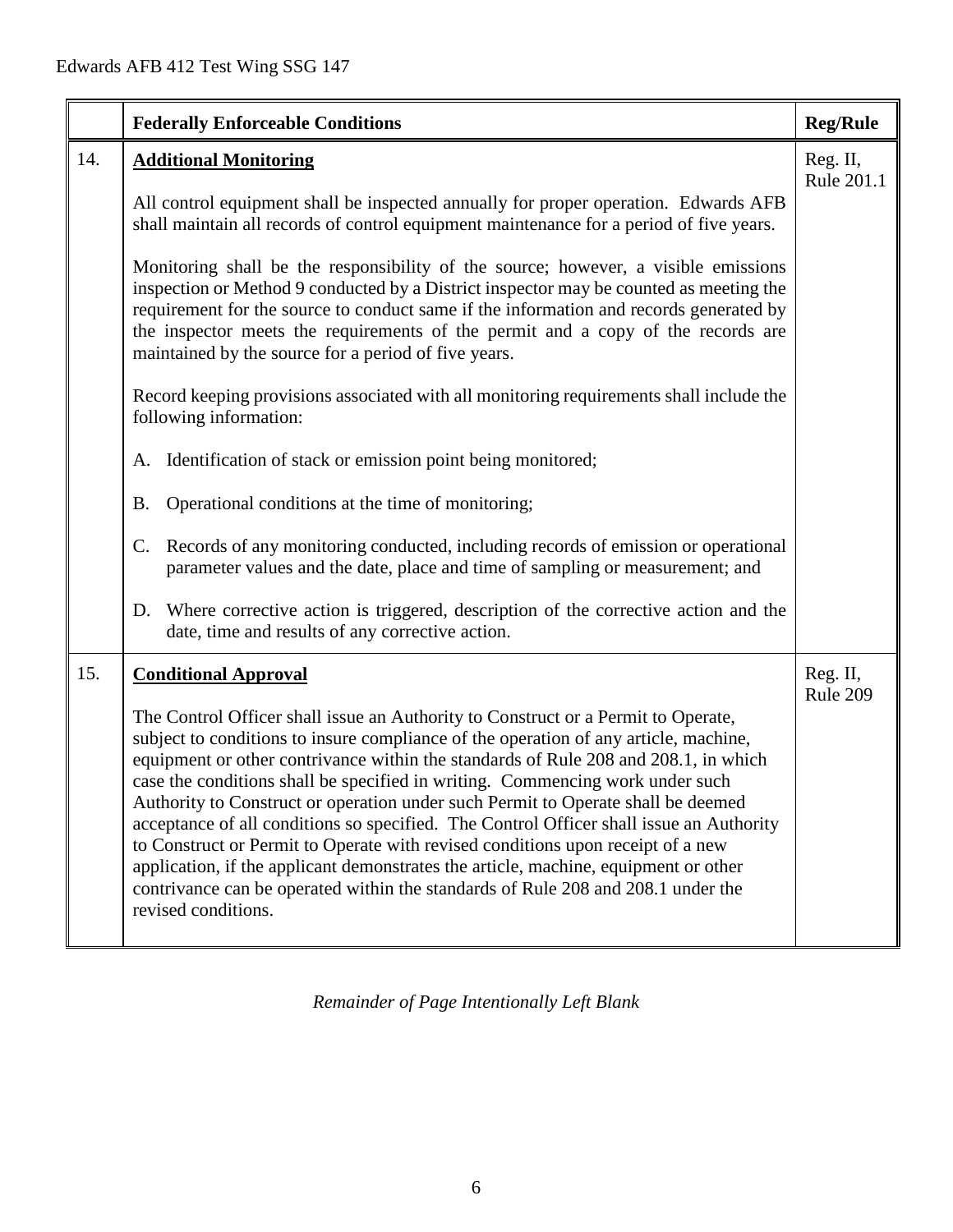|     | <b>Federally Enforceable Conditions</b>                                                                                                                                                                                                                                                                                                                                                                                                                                                                                                                                                                                                                                                                                                                                                                               | <b>Reg/Rule</b>        |
|-----|-----------------------------------------------------------------------------------------------------------------------------------------------------------------------------------------------------------------------------------------------------------------------------------------------------------------------------------------------------------------------------------------------------------------------------------------------------------------------------------------------------------------------------------------------------------------------------------------------------------------------------------------------------------------------------------------------------------------------------------------------------------------------------------------------------------------------|------------------------|
| 14. | <b>Additional Monitoring</b>                                                                                                                                                                                                                                                                                                                                                                                                                                                                                                                                                                                                                                                                                                                                                                                          | Reg. II,<br>Rule 201.1 |
|     | All control equipment shall be inspected annually for proper operation. Edwards AFB<br>shall maintain all records of control equipment maintenance for a period of five years.                                                                                                                                                                                                                                                                                                                                                                                                                                                                                                                                                                                                                                        |                        |
|     | Monitoring shall be the responsibility of the source; however, a visible emissions<br>inspection or Method 9 conducted by a District inspector may be counted as meeting the<br>requirement for the source to conduct same if the information and records generated by<br>the inspector meets the requirements of the permit and a copy of the records are<br>maintained by the source for a period of five years.                                                                                                                                                                                                                                                                                                                                                                                                    |                        |
|     | Record keeping provisions associated with all monitoring requirements shall include the<br>following information:                                                                                                                                                                                                                                                                                                                                                                                                                                                                                                                                                                                                                                                                                                     |                        |
|     | Identification of stack or emission point being monitored;<br>A.                                                                                                                                                                                                                                                                                                                                                                                                                                                                                                                                                                                                                                                                                                                                                      |                        |
|     | Operational conditions at the time of monitoring;<br><b>B.</b>                                                                                                                                                                                                                                                                                                                                                                                                                                                                                                                                                                                                                                                                                                                                                        |                        |
|     | Records of any monitoring conducted, including records of emission or operational<br>C.<br>parameter values and the date, place and time of sampling or measurement; and                                                                                                                                                                                                                                                                                                                                                                                                                                                                                                                                                                                                                                              |                        |
|     | Where corrective action is triggered, description of the corrective action and the<br>D.<br>date, time and results of any corrective action.                                                                                                                                                                                                                                                                                                                                                                                                                                                                                                                                                                                                                                                                          |                        |
| 15. | <b>Conditional Approval</b>                                                                                                                                                                                                                                                                                                                                                                                                                                                                                                                                                                                                                                                                                                                                                                                           | Reg. II,<br>Rule 209   |
|     | The Control Officer shall issue an Authority to Construct or a Permit to Operate,<br>subject to conditions to insure compliance of the operation of any article, machine,<br>equipment or other contrivance within the standards of Rule 208 and 208.1, in which<br>case the conditions shall be specified in writing. Commencing work under such<br>Authority to Construct or operation under such Permit to Operate shall be deemed<br>acceptance of all conditions so specified. The Control Officer shall issue an Authority<br>to Construct or Permit to Operate with revised conditions upon receipt of a new<br>application, if the applicant demonstrates the article, machine, equipment or other<br>contrivance can be operated within the standards of Rule 208 and 208.1 under the<br>revised conditions. |                        |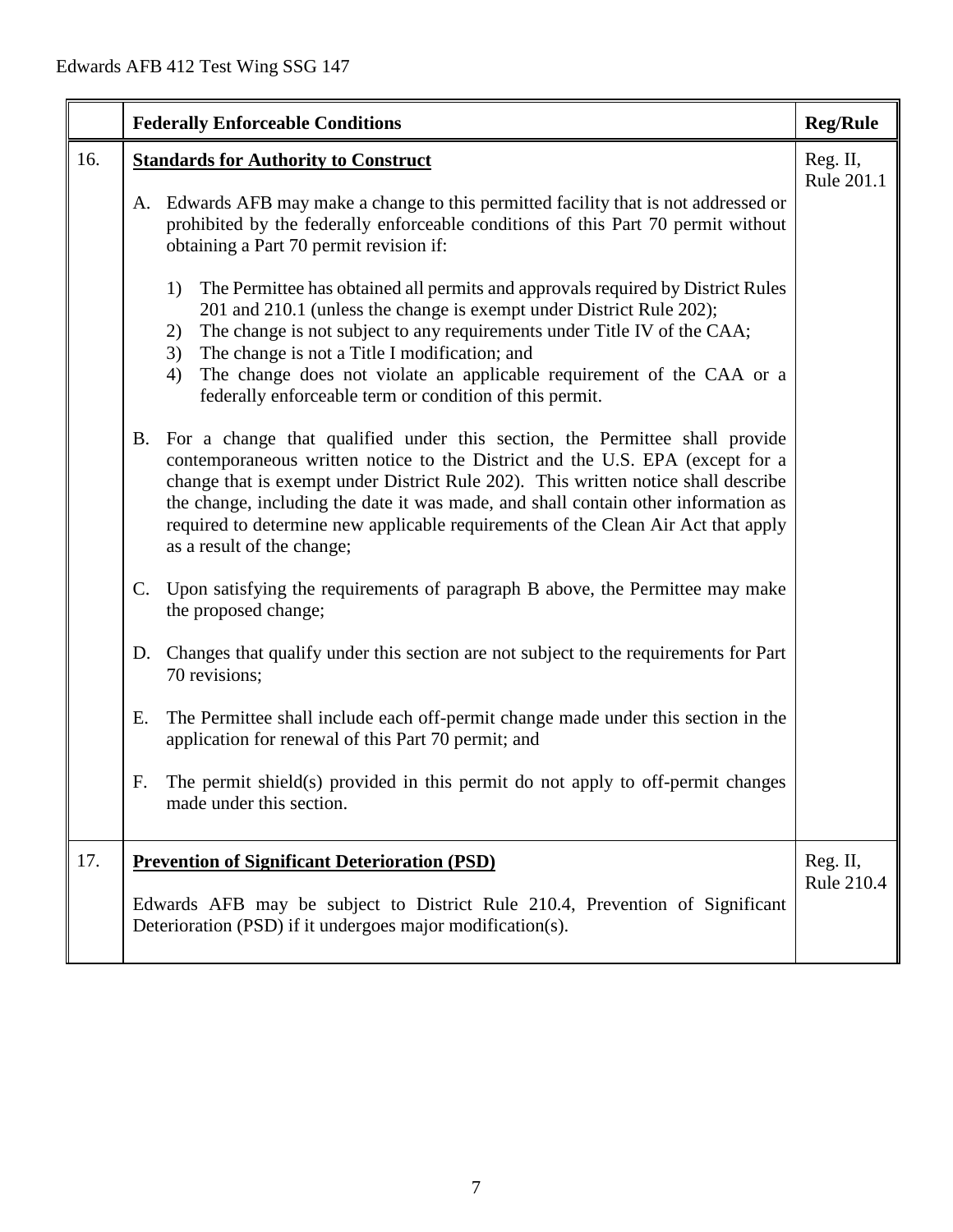| 16.<br><b>Standards for Authority to Construct</b><br>A. Edwards AFB may make a change to this permitted facility that is not addressed or<br>prohibited by the federally enforceable conditions of this Part 70 permit without<br>obtaining a Part 70 permit revision if:<br>The Permittee has obtained all permits and approvals required by District Rules<br>1)<br>201 and 210.1 (unless the change is exempt under District Rule 202);<br>The change is not subject to any requirements under Title IV of the CAA;<br>2)<br>3)<br>The change is not a Title I modification; and<br>The change does not violate an applicable requirement of the CAA or a<br>4)<br>federally enforceable term or condition of this permit.<br>For a change that qualified under this section, the Permittee shall provide<br>B. | <b>Reg/Rule</b>               |
|---------------------------------------------------------------------------------------------------------------------------------------------------------------------------------------------------------------------------------------------------------------------------------------------------------------------------------------------------------------------------------------------------------------------------------------------------------------------------------------------------------------------------------------------------------------------------------------------------------------------------------------------------------------------------------------------------------------------------------------------------------------------------------------------------------------------|-------------------------------|
|                                                                                                                                                                                                                                                                                                                                                                                                                                                                                                                                                                                                                                                                                                                                                                                                                     | Reg. II,<br>Rule 201.1        |
|                                                                                                                                                                                                                                                                                                                                                                                                                                                                                                                                                                                                                                                                                                                                                                                                                     |                               |
|                                                                                                                                                                                                                                                                                                                                                                                                                                                                                                                                                                                                                                                                                                                                                                                                                     |                               |
| contemporaneous written notice to the District and the U.S. EPA (except for a<br>change that is exempt under District Rule 202). This written notice shall describe<br>the change, including the date it was made, and shall contain other information as<br>required to determine new applicable requirements of the Clean Air Act that apply<br>as a result of the change;                                                                                                                                                                                                                                                                                                                                                                                                                                        |                               |
| Upon satisfying the requirements of paragraph B above, the Permittee may make<br>C.<br>the proposed change;                                                                                                                                                                                                                                                                                                                                                                                                                                                                                                                                                                                                                                                                                                         |                               |
| D. Changes that qualify under this section are not subject to the requirements for Part<br>70 revisions;                                                                                                                                                                                                                                                                                                                                                                                                                                                                                                                                                                                                                                                                                                            |                               |
| The Permittee shall include each off-permit change made under this section in the<br>Е.<br>application for renewal of this Part 70 permit; and                                                                                                                                                                                                                                                                                                                                                                                                                                                                                                                                                                                                                                                                      |                               |
| The permit shield(s) provided in this permit do not apply to off-permit changes<br>F.<br>made under this section.                                                                                                                                                                                                                                                                                                                                                                                                                                                                                                                                                                                                                                                                                                   |                               |
| 17.<br><b>Prevention of Significant Deterioration (PSD)</b><br>Edwards AFB may be subject to District Rule 210.4, Prevention of Significant<br>Deterioration (PSD) if it undergoes major modification(s).                                                                                                                                                                                                                                                                                                                                                                                                                                                                                                                                                                                                           | Reg. II,<br><b>Rule 210.4</b> |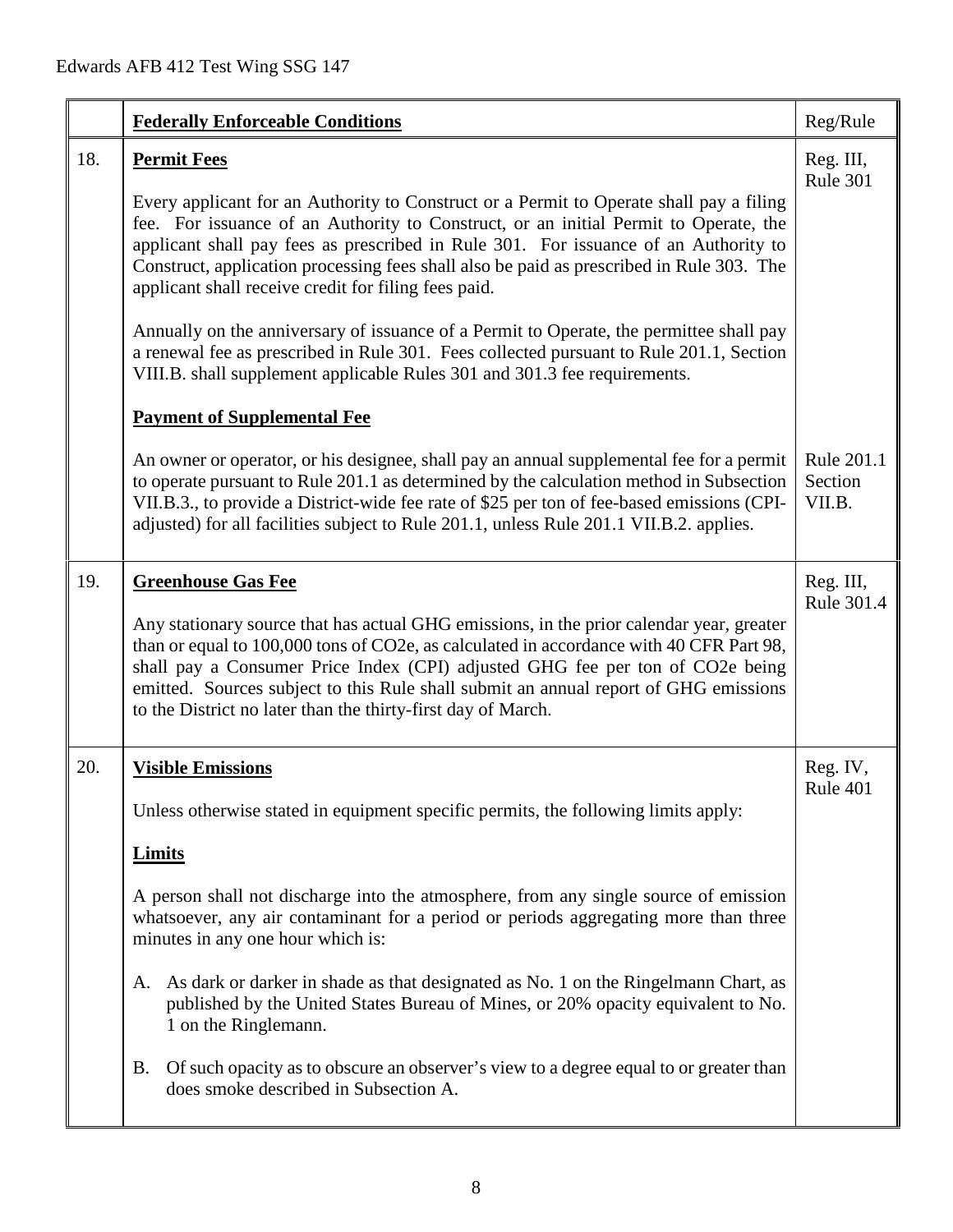|     | <b>Federally Enforceable Conditions</b>                                                                                                                                                                                                                                                                                                                                                                                                                                                                                                                                                                                                                                                                                                                   | Reg/Rule                        |
|-----|-----------------------------------------------------------------------------------------------------------------------------------------------------------------------------------------------------------------------------------------------------------------------------------------------------------------------------------------------------------------------------------------------------------------------------------------------------------------------------------------------------------------------------------------------------------------------------------------------------------------------------------------------------------------------------------------------------------------------------------------------------------|---------------------------------|
| 18. | <b>Permit Fees</b><br>Every applicant for an Authority to Construct or a Permit to Operate shall pay a filing<br>fee. For issuance of an Authority to Construct, or an initial Permit to Operate, the<br>applicant shall pay fees as prescribed in Rule 301. For issuance of an Authority to<br>Construct, application processing fees shall also be paid as prescribed in Rule 303. The<br>applicant shall receive credit for filing fees paid.<br>Annually on the anniversary of issuance of a Permit to Operate, the permittee shall pay<br>a renewal fee as prescribed in Rule 301. Fees collected pursuant to Rule 201.1, Section<br>VIII.B. shall supplement applicable Rules 301 and 301.3 fee requirements.<br><b>Payment of Supplemental Fee</b> | Reg. III,<br>Rule 301           |
|     | An owner or operator, or his designee, shall pay an annual supplemental fee for a permit<br>to operate pursuant to Rule 201.1 as determined by the calculation method in Subsection<br>VII.B.3., to provide a District-wide fee rate of \$25 per ton of fee-based emissions (CPI-<br>adjusted) for all facilities subject to Rule 201.1, unless Rule 201.1 VII.B.2. applies.                                                                                                                                                                                                                                                                                                                                                                              | Rule 201.1<br>Section<br>VII.B. |
| 19. | <b>Greenhouse Gas Fee</b><br>Any stationary source that has actual GHG emissions, in the prior calendar year, greater<br>than or equal to 100,000 tons of CO2e, as calculated in accordance with 40 CFR Part 98,<br>shall pay a Consumer Price Index (CPI) adjusted GHG fee per ton of CO2e being<br>emitted. Sources subject to this Rule shall submit an annual report of GHG emissions<br>to the District no later than the thirty-first day of March.                                                                                                                                                                                                                                                                                                 | Reg. III,<br>Rule 301.4         |
| 20. | <b>Visible Emissions</b><br>Unless otherwise stated in equipment specific permits, the following limits apply:<br><b>Limits</b><br>A person shall not discharge into the atmosphere, from any single source of emission<br>whatsoever, any air contaminant for a period or periods aggregating more than three<br>minutes in any one hour which is:<br>A. As dark or darker in shade as that designated as No. 1 on the Ringelmann Chart, as<br>published by the United States Bureau of Mines, or 20% opacity equivalent to No.<br>1 on the Ringlemann.<br><b>B.</b><br>Of such opacity as to obscure an observer's view to a degree equal to or greater than<br>does smoke described in Subsection A.                                                   | Reg. IV,<br>Rule 401            |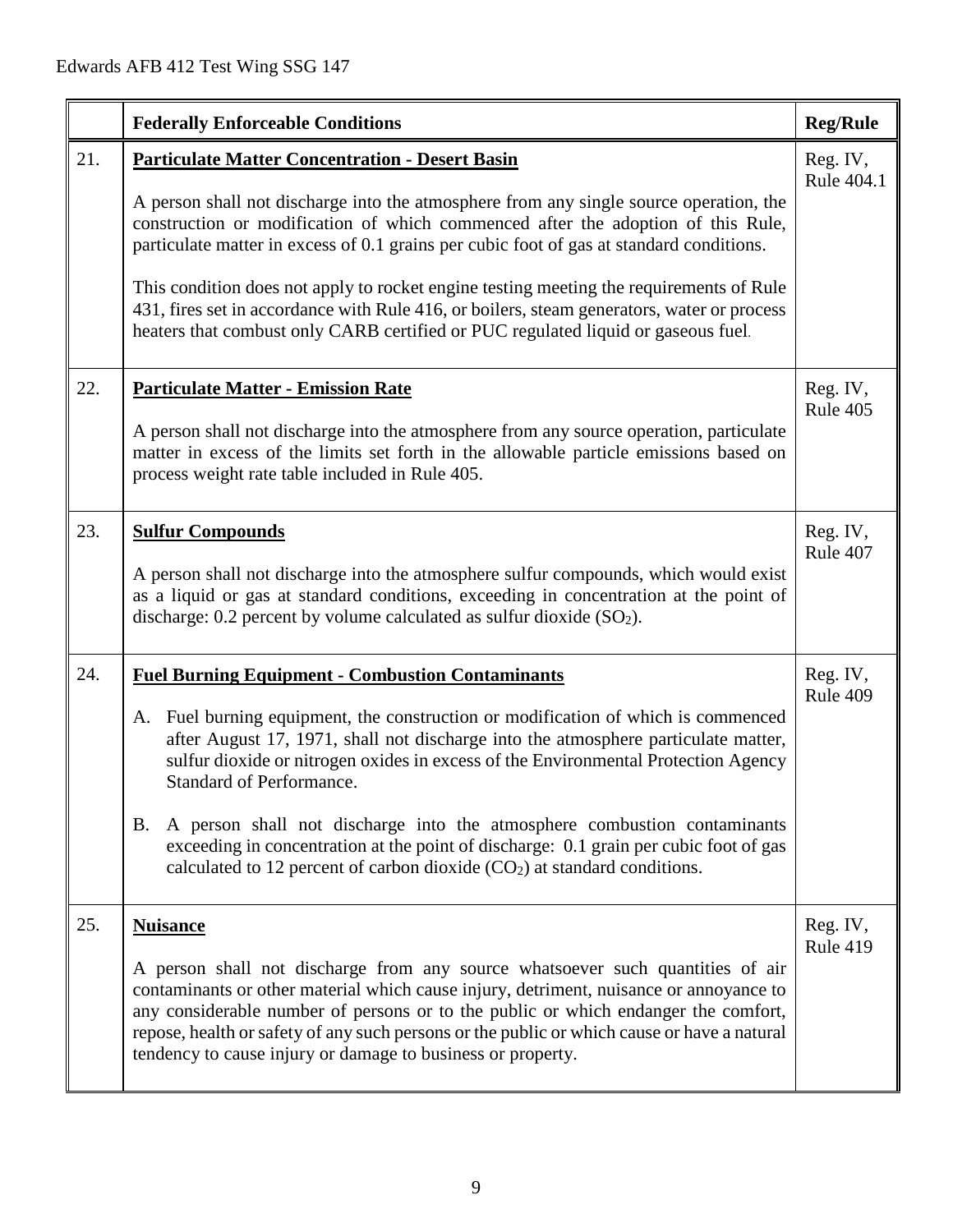|     | <b>Federally Enforceable Conditions</b>                                                                                                                                                                                                                                                                                                                                                                                                                                                                                                                                                                                 | <b>Reg/Rule</b>             |
|-----|-------------------------------------------------------------------------------------------------------------------------------------------------------------------------------------------------------------------------------------------------------------------------------------------------------------------------------------------------------------------------------------------------------------------------------------------------------------------------------------------------------------------------------------------------------------------------------------------------------------------------|-----------------------------|
| 21. | <b>Particulate Matter Concentration - Desert Basin</b><br>A person shall not discharge into the atmosphere from any single source operation, the<br>construction or modification of which commenced after the adoption of this Rule,<br>particulate matter in excess of 0.1 grains per cubic foot of gas at standard conditions.<br>This condition does not apply to rocket engine testing meeting the requirements of Rule<br>431, fires set in accordance with Rule 416, or boilers, steam generators, water or process<br>heaters that combust only CARB certified or PUC regulated liquid or gaseous fuel.          | Reg. IV,<br>Rule 404.1      |
| 22. | <b>Particulate Matter - Emission Rate</b><br>A person shall not discharge into the atmosphere from any source operation, particulate<br>matter in excess of the limits set forth in the allowable particle emissions based on<br>process weight rate table included in Rule 405.                                                                                                                                                                                                                                                                                                                                        | Reg. IV,<br>Rule 405        |
| 23. | <b>Sulfur Compounds</b><br>A person shall not discharge into the atmosphere sulfur compounds, which would exist<br>as a liquid or gas at standard conditions, exceeding in concentration at the point of<br>discharge: $0.2$ percent by volume calculated as sulfur dioxide $(SO2)$ .                                                                                                                                                                                                                                                                                                                                   | Reg. IV,<br>Rule 407        |
| 24. | <b>Fuel Burning Equipment - Combustion Contaminants</b><br>Fuel burning equipment, the construction or modification of which is commenced<br>A.<br>after August 17, 1971, shall not discharge into the atmosphere particulate matter,<br>sulfur dioxide or nitrogen oxides in excess of the Environmental Protection Agency<br><b>Standard of Performance.</b><br>A person shall not discharge into the atmosphere combustion contaminants<br>B.<br>exceeding in concentration at the point of discharge: 0.1 grain per cubic foot of gas<br>calculated to 12 percent of carbon dioxide $(CO2)$ at standard conditions. | Reg. IV,<br>Rule 409        |
| 25. | <b>Nuisance</b><br>A person shall not discharge from any source whatsoever such quantities of air<br>contaminants or other material which cause injury, detriment, nuisance or annoyance to<br>any considerable number of persons or to the public or which endanger the comfort,<br>repose, health or safety of any such persons or the public or which cause or have a natural<br>tendency to cause injury or damage to business or property.                                                                                                                                                                         | Reg. IV,<br><b>Rule 419</b> |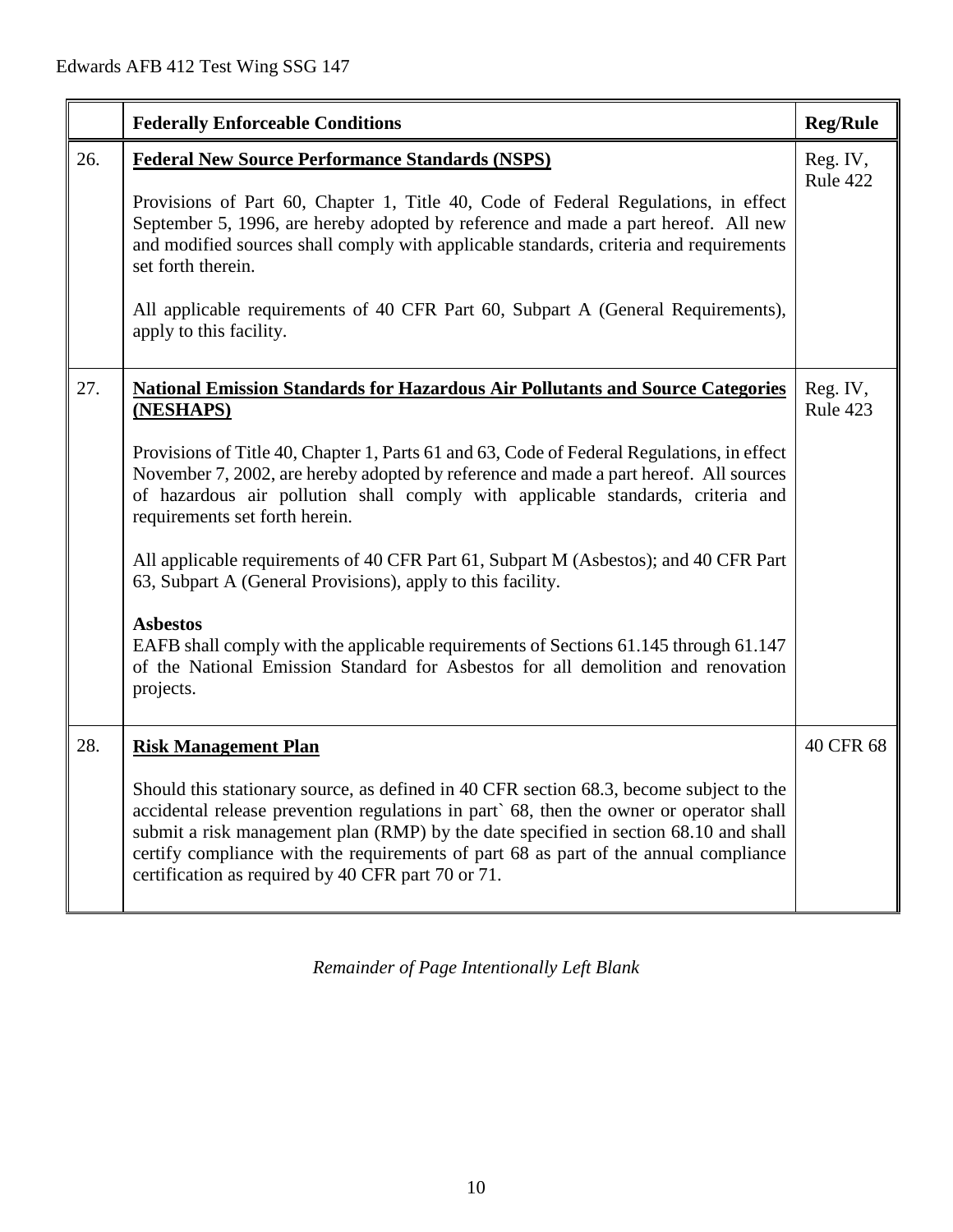|     | <b>Federally Enforceable Conditions</b>                                                                                                                                                                                                                                                                                                                                                                                                                                                                                                                                                                                                                                                                                                                                           | <b>Reg/Rule</b>      |
|-----|-----------------------------------------------------------------------------------------------------------------------------------------------------------------------------------------------------------------------------------------------------------------------------------------------------------------------------------------------------------------------------------------------------------------------------------------------------------------------------------------------------------------------------------------------------------------------------------------------------------------------------------------------------------------------------------------------------------------------------------------------------------------------------------|----------------------|
| 26. | <b>Federal New Source Performance Standards (NSPS)</b><br>Provisions of Part 60, Chapter 1, Title 40, Code of Federal Regulations, in effect<br>September 5, 1996, are hereby adopted by reference and made a part hereof. All new<br>and modified sources shall comply with applicable standards, criteria and requirements<br>set forth therein.<br>All applicable requirements of 40 CFR Part 60, Subpart A (General Requirements),<br>apply to this facility.                                                                                                                                                                                                                                                                                                                 | Reg. IV,<br>Rule 422 |
| 27. | <b>National Emission Standards for Hazardous Air Pollutants and Source Categories</b><br>(NESHAPS)<br>Provisions of Title 40, Chapter 1, Parts 61 and 63, Code of Federal Regulations, in effect<br>November 7, 2002, are hereby adopted by reference and made a part hereof. All sources<br>of hazardous air pollution shall comply with applicable standards, criteria and<br>requirements set forth herein.<br>All applicable requirements of 40 CFR Part 61, Subpart M (Asbestos); and 40 CFR Part<br>63, Subpart A (General Provisions), apply to this facility.<br><b>Asbestos</b><br>EAFB shall comply with the applicable requirements of Sections 61.145 through 61.147<br>of the National Emission Standard for Asbestos for all demolition and renovation<br>projects. | Reg. IV,<br>Rule 423 |
| 28. | <b>Risk Management Plan</b><br>Should this stationary source, as defined in 40 CFR section 68.3, become subject to the<br>accidental release prevention regulations in part` 68, then the owner or operator shall<br>submit a risk management plan (RMP) by the date specified in section 68.10 and shall<br>certify compliance with the requirements of part 68 as part of the annual compliance<br>certification as required by 40 CFR part 70 or 71.                                                                                                                                                                                                                                                                                                                           | 40 CFR 68            |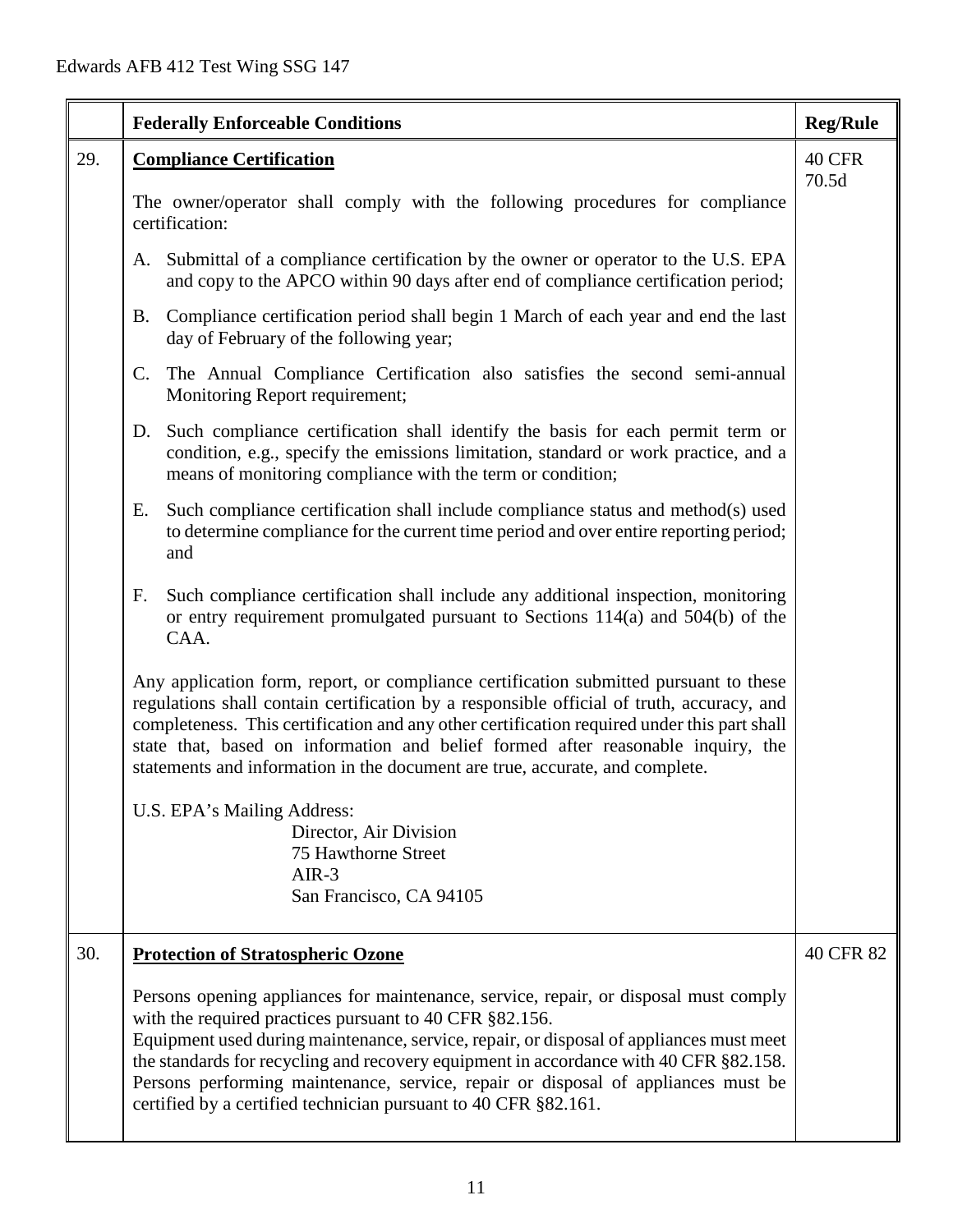|     | <b>Federally Enforceable Conditions</b>                                                                                                                                                                                                                                                                                                                                                                                                                                                     | <b>Reg/Rule</b> |
|-----|---------------------------------------------------------------------------------------------------------------------------------------------------------------------------------------------------------------------------------------------------------------------------------------------------------------------------------------------------------------------------------------------------------------------------------------------------------------------------------------------|-----------------|
| 29. | <b>Compliance Certification</b>                                                                                                                                                                                                                                                                                                                                                                                                                                                             | 40 CFR<br>70.5d |
|     | The owner/operator shall comply with the following procedures for compliance<br>certification:                                                                                                                                                                                                                                                                                                                                                                                              |                 |
|     | A. Submittal of a compliance certification by the owner or operator to the U.S. EPA<br>and copy to the APCO within 90 days after end of compliance certification period;                                                                                                                                                                                                                                                                                                                    |                 |
|     | Compliance certification period shall begin 1 March of each year and end the last<br>B.<br>day of February of the following year;                                                                                                                                                                                                                                                                                                                                                           |                 |
|     | $\mathbf{C}$ .<br>The Annual Compliance Certification also satisfies the second semi-annual<br>Monitoring Report requirement;                                                                                                                                                                                                                                                                                                                                                               |                 |
|     | Such compliance certification shall identify the basis for each permit term or<br>D.<br>condition, e.g., specify the emissions limitation, standard or work practice, and a<br>means of monitoring compliance with the term or condition;                                                                                                                                                                                                                                                   |                 |
|     | Such compliance certification shall include compliance status and method(s) used<br>Е.<br>to determine compliance for the current time period and over entire reporting period;<br>and                                                                                                                                                                                                                                                                                                      |                 |
|     | F.<br>Such compliance certification shall include any additional inspection, monitoring<br>or entry requirement promulgated pursuant to Sections 114(a) and 504(b) of the<br>CAA.                                                                                                                                                                                                                                                                                                           |                 |
|     | Any application form, report, or compliance certification submitted pursuant to these<br>regulations shall contain certification by a responsible official of truth, accuracy, and<br>completeness. This certification and any other certification required under this part shall<br>state that, based on information and belief formed after reasonable inquiry, the<br>statements and information in the document are true, accurate, and complete.                                       |                 |
|     | U.S. EPA's Mailing Address:                                                                                                                                                                                                                                                                                                                                                                                                                                                                 |                 |
|     | Director, Air Division<br>75 Hawthorne Street                                                                                                                                                                                                                                                                                                                                                                                                                                               |                 |
|     | $AIR-3$                                                                                                                                                                                                                                                                                                                                                                                                                                                                                     |                 |
|     | San Francisco, CA 94105                                                                                                                                                                                                                                                                                                                                                                                                                                                                     |                 |
| 30. | <b>Protection of Stratospheric Ozone</b>                                                                                                                                                                                                                                                                                                                                                                                                                                                    | 40 CFR 82       |
|     | Persons opening appliances for maintenance, service, repair, or disposal must comply<br>with the required practices pursuant to 40 CFR §82.156.<br>Equipment used during maintenance, service, repair, or disposal of appliances must meet<br>the standards for recycling and recovery equipment in accordance with 40 CFR §82.158.<br>Persons performing maintenance, service, repair or disposal of appliances must be<br>certified by a certified technician pursuant to 40 CFR §82.161. |                 |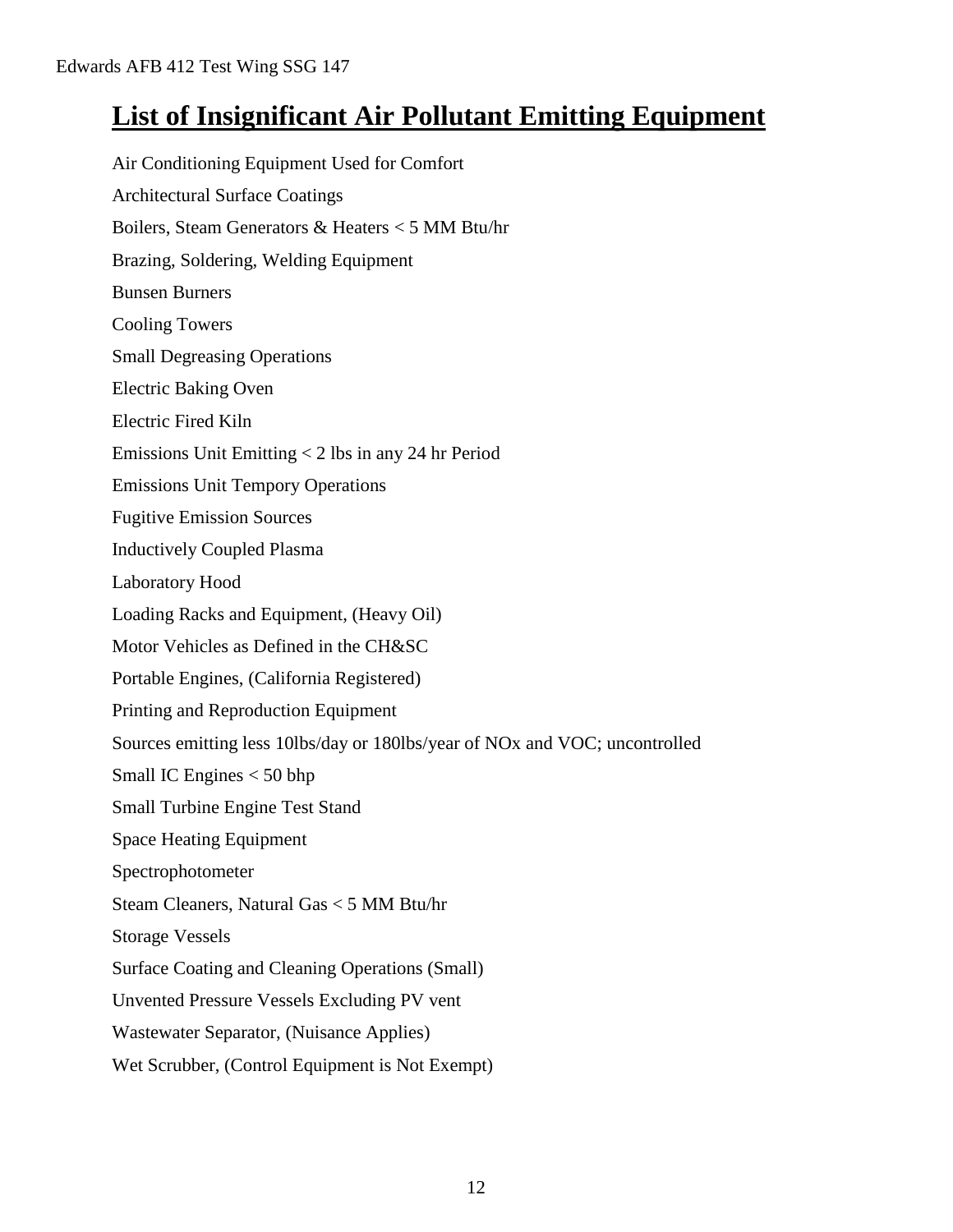# **List of Insignificant Air Pollutant Emitting Equipment**

Air Conditioning Equipment Used for Comfort Architectural Surface Coatings Boilers, Steam Generators & Heaters < 5 MM Btu/hr Brazing, Soldering, Welding Equipment Bunsen Burners Cooling Towers Small Degreasing Operations Electric Baking Oven Electric Fired Kiln Emissions Unit Emitting < 2 lbs in any 24 hr Period Emissions Unit Tempory Operations Fugitive Emission Sources Inductively Coupled Plasma Laboratory Hood Loading Racks and Equipment, (Heavy Oil) Motor Vehicles as Defined in the CH&SC Portable Engines, (California Registered) Printing and Reproduction Equipment Sources emitting less 10lbs/day or 180lbs/year of NOx and VOC; uncontrolled Small IC Engines < 50 bhp Small Turbine Engine Test Stand Space Heating Equipment Spectrophotometer Steam Cleaners, Natural Gas < 5 MM Btu/hr Storage Vessels Surface Coating and Cleaning Operations (Small) Unvented Pressure Vessels Excluding PV vent Wastewater Separator, (Nuisance Applies) Wet Scrubber, (Control Equipment is Not Exempt)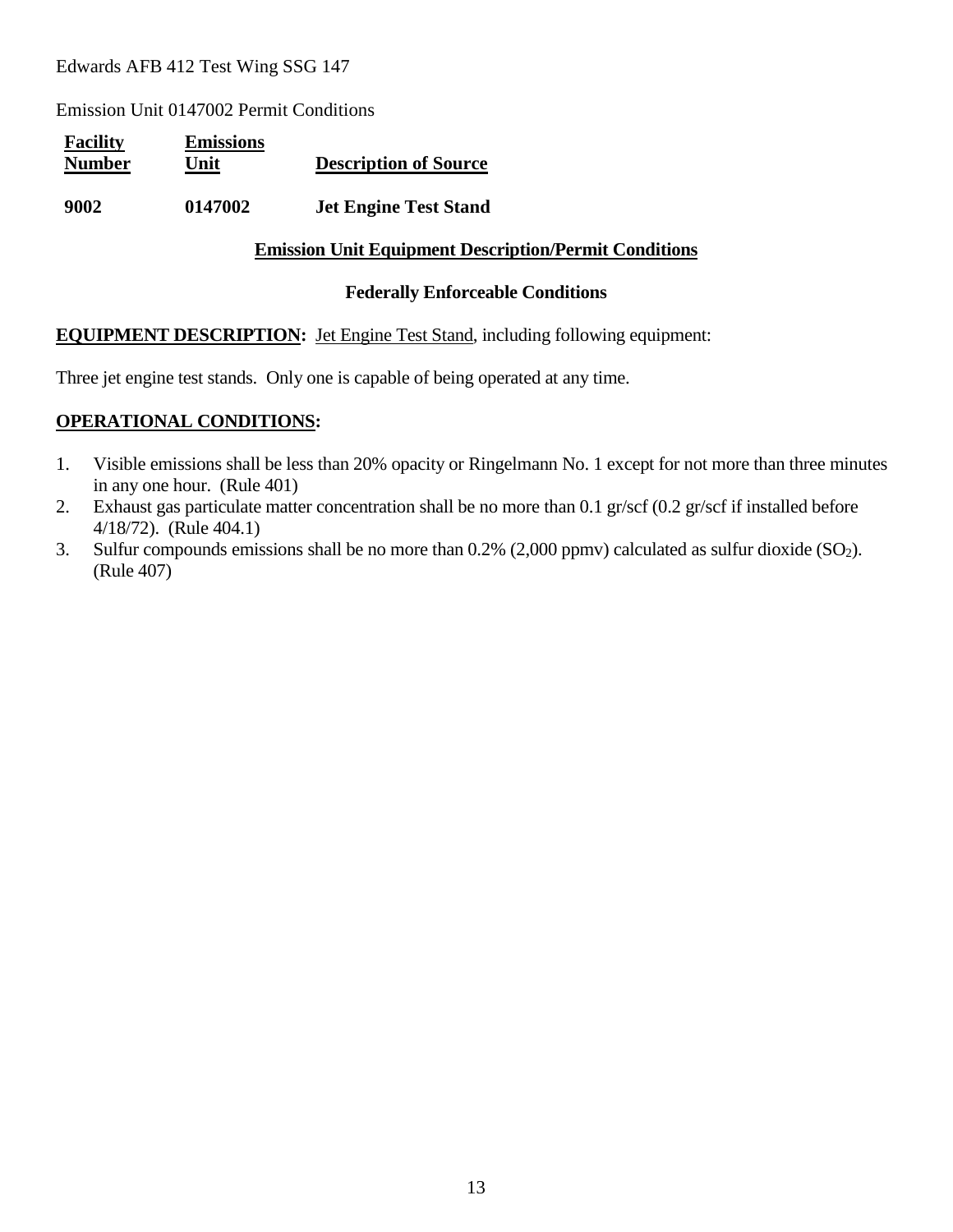Emission Unit 0147002 Permit Conditions

| <b>Facility</b><br><b>Number</b> | <b>Emissions</b><br>Unit | <b>Description of Source</b> |
|----------------------------------|--------------------------|------------------------------|
| 9002                             | 0147002                  | <b>Jet Engine Test Stand</b> |

#### **Emission Unit Equipment Description/Permit Conditions**

#### **Federally Enforceable Conditions**

#### **EQUIPMENT DESCRIPTION:** Jet Engine Test Stand, including following equipment:

Three jet engine test stands. Only one is capable of being operated at any time.

#### **OPERATIONAL CONDITIONS:**

- 1. Visible emissions shall be less than 20% opacity or Ringelmann No. 1 except for not more than three minutes in any one hour. (Rule 401)
- 2. Exhaust gas particulate matter concentration shall be no more than 0.1 gr/scf (0.2 gr/scf if installed before 4/18/72). (Rule 404.1)
- 3. Sulfur compounds emissions shall be no more than  $0.2\%$  (2,000 ppmv) calculated as sulfur dioxide (SO<sub>2</sub>). (Rule 407)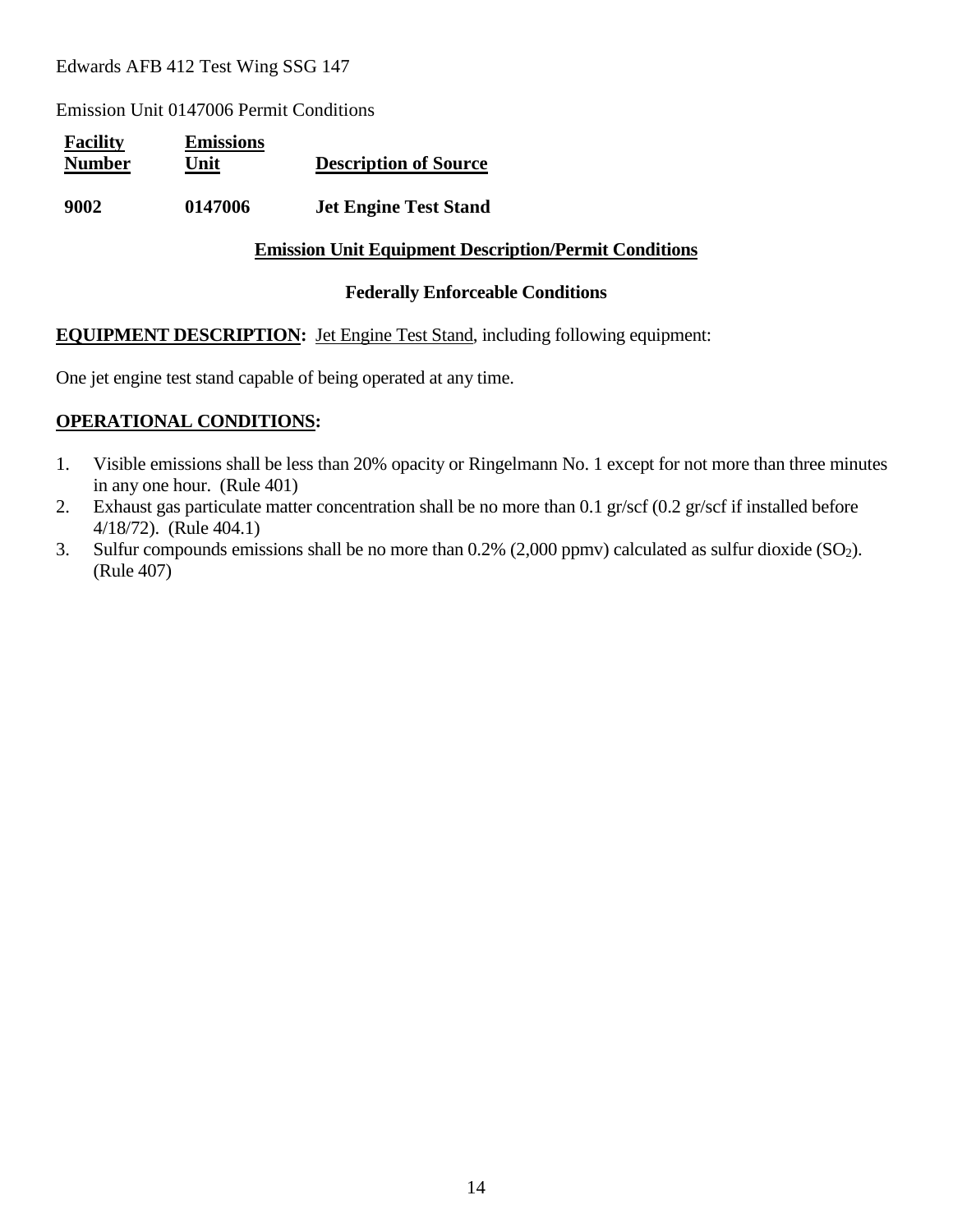Emission Unit 0147006 Permit Conditions

| <b>Facility</b><br><b>Number</b> | <b>Emissions</b><br>Unit | <b>Description of Source</b> |
|----------------------------------|--------------------------|------------------------------|
| 9002                             | 0147006                  | <b>Jet Engine Test Stand</b> |

#### **Emission Unit Equipment Description/Permit Conditions**

#### **Federally Enforceable Conditions**

#### **EQUIPMENT DESCRIPTION:** Jet Engine Test Stand, including following equipment:

One jet engine test stand capable of being operated at any time.

#### **OPERATIONAL CONDITIONS:**

- 1. Visible emissions shall be less than 20% opacity or Ringelmann No. 1 except for not more than three minutes in any one hour. (Rule 401)
- 2. Exhaust gas particulate matter concentration shall be no more than 0.1 gr/scf (0.2 gr/scf if installed before 4/18/72). (Rule 404.1)
- 3. Sulfur compounds emissions shall be no more than  $0.2\%$  (2,000 ppmv) calculated as sulfur dioxide (SO<sub>2</sub>). (Rule 407)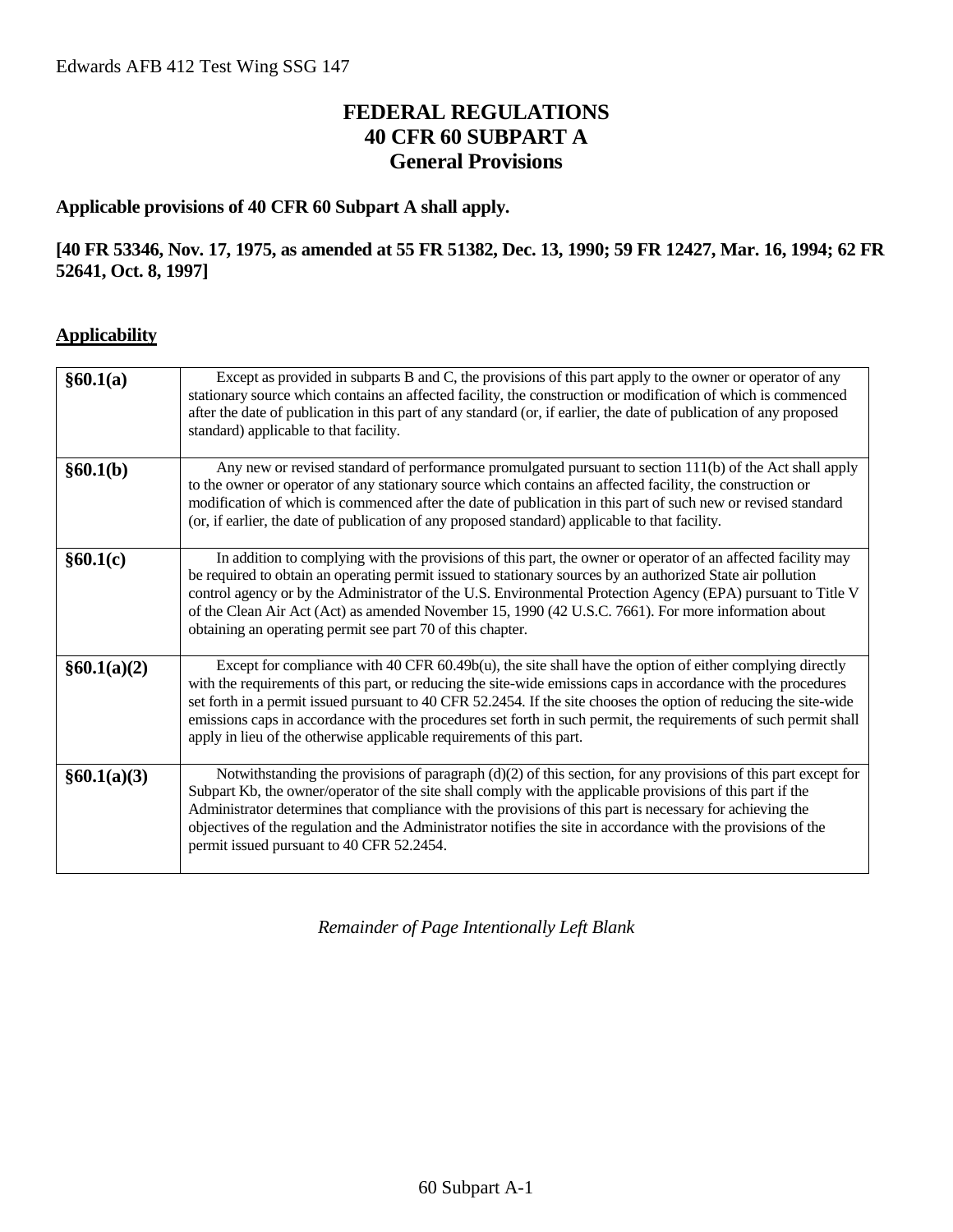# **FEDERAL REGULATIONS 40 CFR 60 SUBPART A General Provisions**

#### **Applicable provisions of 40 CFR 60 Subpart A shall apply.**

#### **[40 FR 53346, Nov. 17, 1975, as amended at 55 FR 51382, Dec. 13, 1990; 59 FR 12427, Mar. 16, 1994; 62 FR 52641, Oct. 8, 1997]**

#### **Applicability**

| §60.1(a)    | Except as provided in subparts B and C, the provisions of this part apply to the owner or operator of any<br>stationary source which contains an affected facility, the construction or modification of which is commenced<br>after the date of publication in this part of any standard (or, if earlier, the date of publication of any proposed<br>standard) applicable to that facility.                                                                                                                                                 |
|-------------|---------------------------------------------------------------------------------------------------------------------------------------------------------------------------------------------------------------------------------------------------------------------------------------------------------------------------------------------------------------------------------------------------------------------------------------------------------------------------------------------------------------------------------------------|
| §60.1(b)    | Any new or revised standard of performance promulgated pursuant to section 111(b) of the Act shall apply<br>to the owner or operator of any stationary source which contains an affected facility, the construction or<br>modification of which is commenced after the date of publication in this part of such new or revised standard<br>(or, if earlier, the date of publication of any proposed standard) applicable to that facility.                                                                                                  |
| §60.1(c)    | In addition to complying with the provisions of this part, the owner or operator of an affected facility may<br>be required to obtain an operating permit issued to stationary sources by an authorized State air pollution<br>control agency or by the Administrator of the U.S. Environmental Protection Agency (EPA) pursuant to Title V<br>of the Clean Air Act (Act) as amended November 15, 1990 (42 U.S.C. 7661). For more information about<br>obtaining an operating permit see part 70 of this chapter.                           |
| §60.1(a)(2) | Except for compliance with 40 CFR 60.49b(u), the site shall have the option of either complying directly<br>with the requirements of this part, or reducing the site-wide emissions caps in accordance with the procedures<br>set forth in a permit issued pursuant to 40 CFR 52.2454. If the site chooses the option of reducing the site-wide<br>emissions caps in accordance with the procedures set forth in such permit, the requirements of such permit shall<br>apply in lieu of the otherwise applicable requirements of this part. |
| §60.1(a)(3) | Notwithstanding the provisions of paragraph (d)(2) of this section, for any provisions of this part except for<br>Subpart Kb, the owner/operator of the site shall comply with the applicable provisions of this part if the<br>Administrator determines that compliance with the provisions of this part is necessary for achieving the<br>objectives of the regulation and the Administrator notifies the site in accordance with the provisions of the<br>permit issued pursuant to 40 CFR 52.2454.                                      |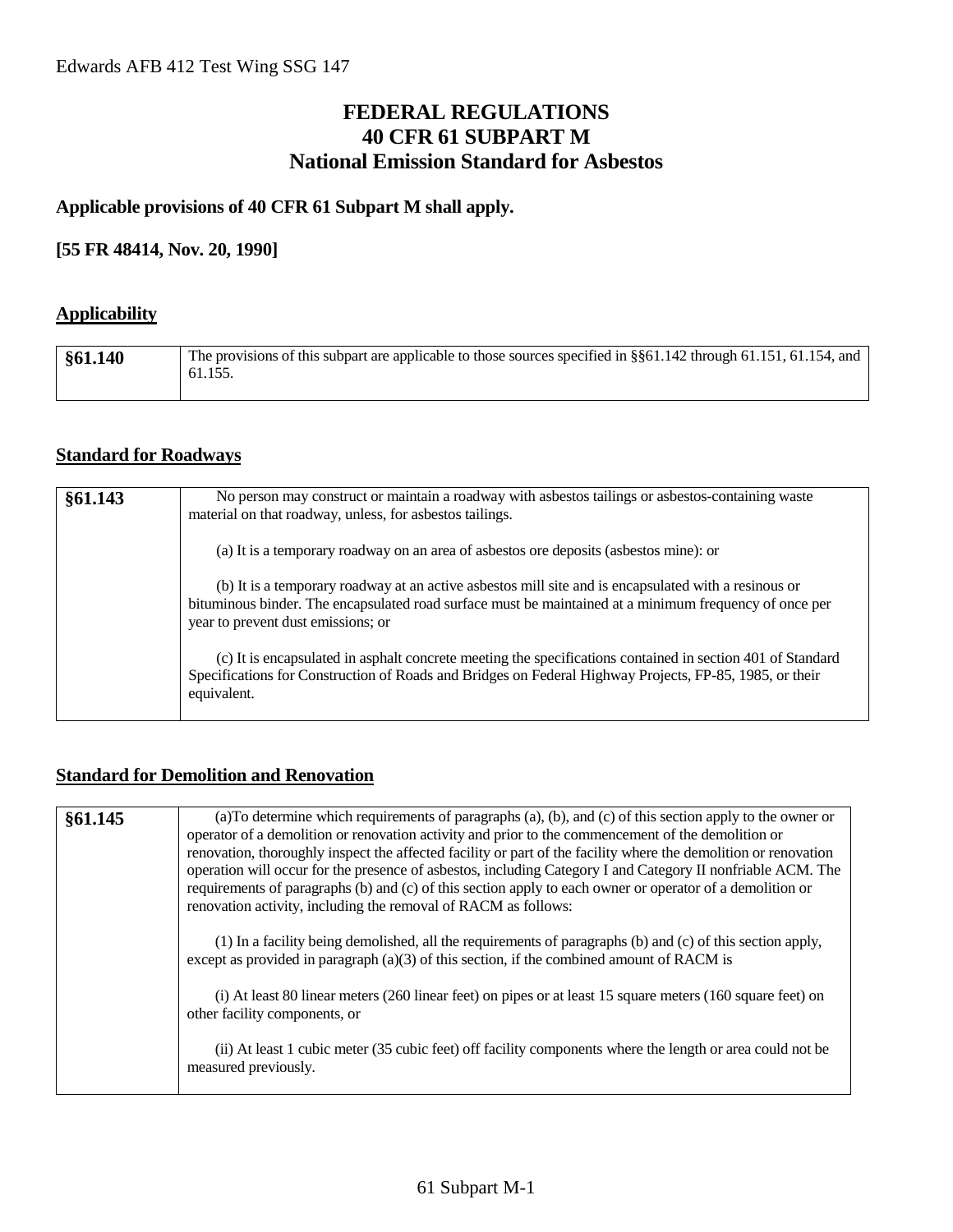### **FEDERAL REGULATIONS 40 CFR 61 SUBPART M National Emission Standard for Asbestos**

#### **Applicable provisions of 40 CFR 61 Subpart M shall apply.**

#### **[55 FR 48414, Nov. 20, 1990]**

#### **Applicability**

| §61.140 | The provisions of this subpart are applicable to those sources specified in §§61.142 through 61.151, 61.154, and<br>61.155. |
|---------|-----------------------------------------------------------------------------------------------------------------------------|
|         |                                                                                                                             |

#### **Standard for Roadways**

| §61.143 | No person may construct or maintain a roadway with asbestos tailings or asbestos-containing waste<br>material on that roadway, unless, for asbestos tailings.                                                                                        |
|---------|------------------------------------------------------------------------------------------------------------------------------------------------------------------------------------------------------------------------------------------------------|
|         | (a) It is a temporary roadway on an area of asbestos ore deposits (asbestos mine): or                                                                                                                                                                |
|         | (b) It is a temporary roadway at an active asbestos mill site and is encapsulated with a resinous or<br>bituminous binder. The encapsulated road surface must be maintained at a minimum frequency of once per<br>year to prevent dust emissions; or |
|         | (c) It is encapsulated in asphalt concrete meeting the specifications contained in section 401 of Standard<br>Specifications for Construction of Roads and Bridges on Federal Highway Projects, FP-85, 1985, or their<br>equivalent.                 |

#### **Standard for Demolition and Renovation**

| §61.145 | (a) To determine which requirements of paragraphs (a), (b), and (c) of this section apply to the owner or<br>operator of a demolition or renovation activity and prior to the commencement of the demolition or<br>renovation, thoroughly inspect the affected facility or part of the facility where the demolition or renovation<br>operation will occur for the presence of asbestos, including Category I and Category II nonfriable ACM. The<br>requirements of paragraphs (b) and (c) of this section apply to each owner or operator of a demolition or<br>renovation activity, including the removal of RACM as follows: |
|---------|----------------------------------------------------------------------------------------------------------------------------------------------------------------------------------------------------------------------------------------------------------------------------------------------------------------------------------------------------------------------------------------------------------------------------------------------------------------------------------------------------------------------------------------------------------------------------------------------------------------------------------|
|         | (1) In a facility being demolished, all the requirements of paragraphs (b) and (c) of this section apply,<br>except as provided in paragraph $(a)(3)$ of this section, if the combined amount of RACM is                                                                                                                                                                                                                                                                                                                                                                                                                         |
|         | (i) At least 80 linear meters (260 linear feet) on pipes or at least 15 square meters (160 square feet) on<br>other facility components, or                                                                                                                                                                                                                                                                                                                                                                                                                                                                                      |
|         | (ii) At least 1 cubic meter (35 cubic feet) off facility components where the length or area could not be<br>measured previously.                                                                                                                                                                                                                                                                                                                                                                                                                                                                                                |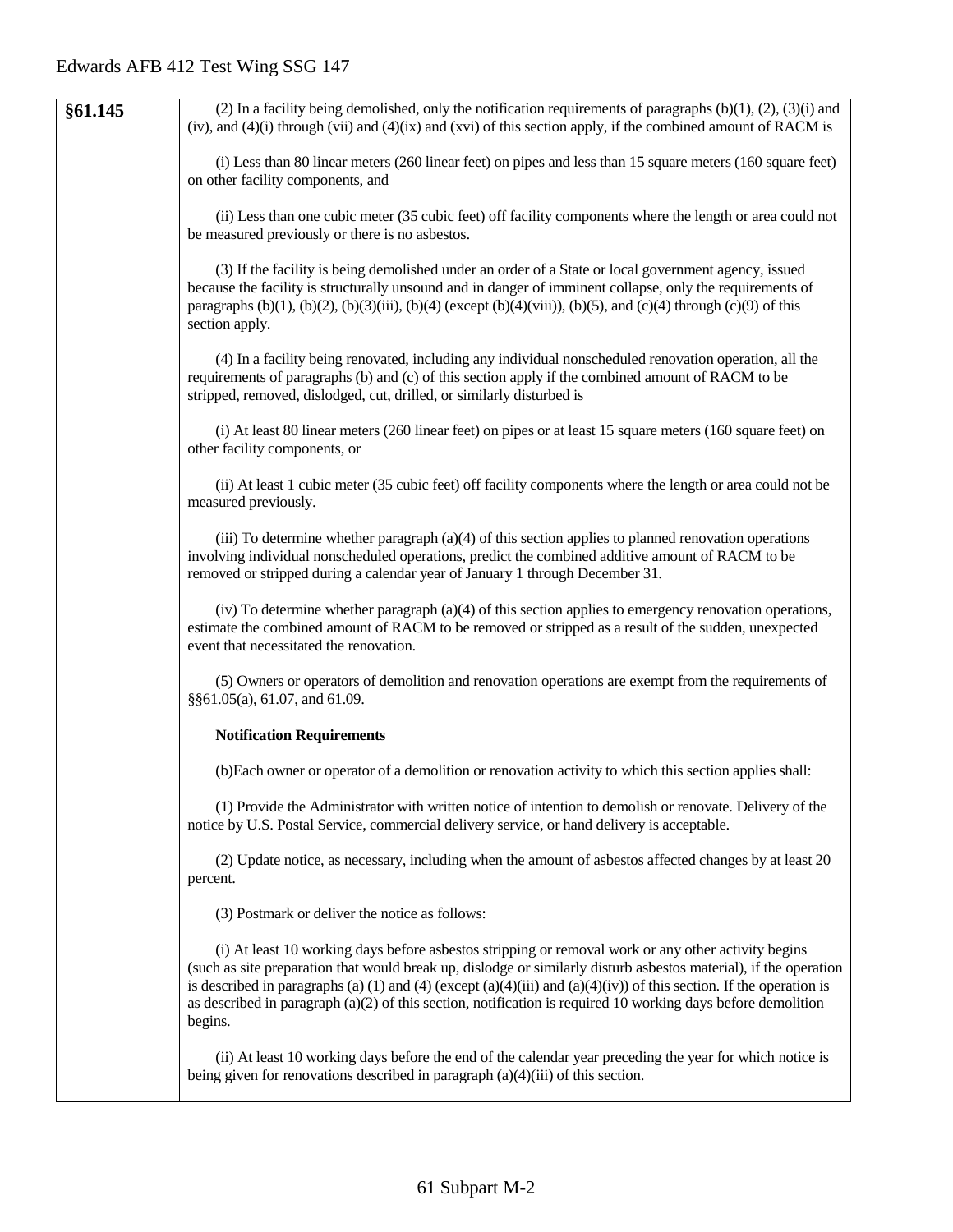| §61.145 | (2) In a facility being demolished, only the notification requirements of paragraphs $(b)(1)$ , $(2)$ , $(3)(i)$ and<br>(iv), and $(4)(i)$ through (vii) and $(4)(ix)$ and (xvi) of this section apply, if the combined amount of RACM is                                                                                                                                                                                                                                    |
|---------|------------------------------------------------------------------------------------------------------------------------------------------------------------------------------------------------------------------------------------------------------------------------------------------------------------------------------------------------------------------------------------------------------------------------------------------------------------------------------|
|         | (i) Less than 80 linear meters (260 linear feet) on pipes and less than 15 square meters (160 square feet)<br>on other facility components, and                                                                                                                                                                                                                                                                                                                              |
|         | (ii) Less than one cubic meter (35 cubic feet) off facility components where the length or area could not<br>be measured previously or there is no asbestos.                                                                                                                                                                                                                                                                                                                 |
|         | (3) If the facility is being demolished under an order of a State or local government agency, issued<br>because the facility is structurally unsound and in danger of imminent collapse, only the requirements of<br>paragraphs (b)(1), (b)(2), (b)(3)(iii), (b)(4) (except (b)(4)(viii)), (b)(5), and (c)(4) through (c)(9) of this<br>section apply.                                                                                                                       |
|         | (4) In a facility being renovated, including any individual nonscheduled renovation operation, all the<br>requirements of paragraphs (b) and (c) of this section apply if the combined amount of RACM to be<br>stripped, removed, dislodged, cut, drilled, or similarly disturbed is                                                                                                                                                                                         |
|         | (i) At least 80 linear meters (260 linear feet) on pipes or at least 15 square meters (160 square feet) on<br>other facility components, or                                                                                                                                                                                                                                                                                                                                  |
|         | (ii) At least 1 cubic meter (35 cubic feet) off facility components where the length or area could not be<br>measured previously.                                                                                                                                                                                                                                                                                                                                            |
|         | (iii) To determine whether paragraph $(a)(4)$ of this section applies to planned renovation operations<br>involving individual nonscheduled operations, predict the combined additive amount of RACM to be<br>removed or stripped during a calendar year of January 1 through December 31.                                                                                                                                                                                   |
|         | (iv) To determine whether paragraph (a)(4) of this section applies to emergency renovation operations,<br>estimate the combined amount of RACM to be removed or stripped as a result of the sudden, unexpected<br>event that necessitated the renovation.                                                                                                                                                                                                                    |
|         | (5) Owners or operators of demolition and renovation operations are exempt from the requirements of<br>§§61.05(a), 61.07, and 61.09.                                                                                                                                                                                                                                                                                                                                         |
|         | <b>Notification Requirements</b>                                                                                                                                                                                                                                                                                                                                                                                                                                             |
|         | (b) Each owner or operator of a demolition or renovation activity to which this section applies shall:                                                                                                                                                                                                                                                                                                                                                                       |
|         | (1) Provide the Administrator with written notice of intention to demolish or renovate. Delivery of the<br>notice by U.S. Postal Service, commercial delivery service, or hand delivery is acceptable.                                                                                                                                                                                                                                                                       |
|         | (2) Update notice, as necessary, including when the amount of asbestos affected changes by at least 20<br>percent.                                                                                                                                                                                                                                                                                                                                                           |
|         | (3) Postmark or deliver the notice as follows:                                                                                                                                                                                                                                                                                                                                                                                                                               |
|         | (i) At least 10 working days before asbestos stripping or removal work or any other activity begins<br>(such as site preparation that would break up, dislodge or similarly disturb asbestos material), if the operation<br>is described in paragraphs (a) (1) and (4) (except (a)(4)(iii) and (a)(4)(iv)) of this section. If the operation is<br>as described in paragraph $(a)(2)$ of this section, notification is required 10 working days before demolition<br>begins. |
|         | (ii) At least 10 working days before the end of the calendar year preceding the year for which notice is<br>being given for renovations described in paragraph $(a)(4)(iii)$ of this section.                                                                                                                                                                                                                                                                                |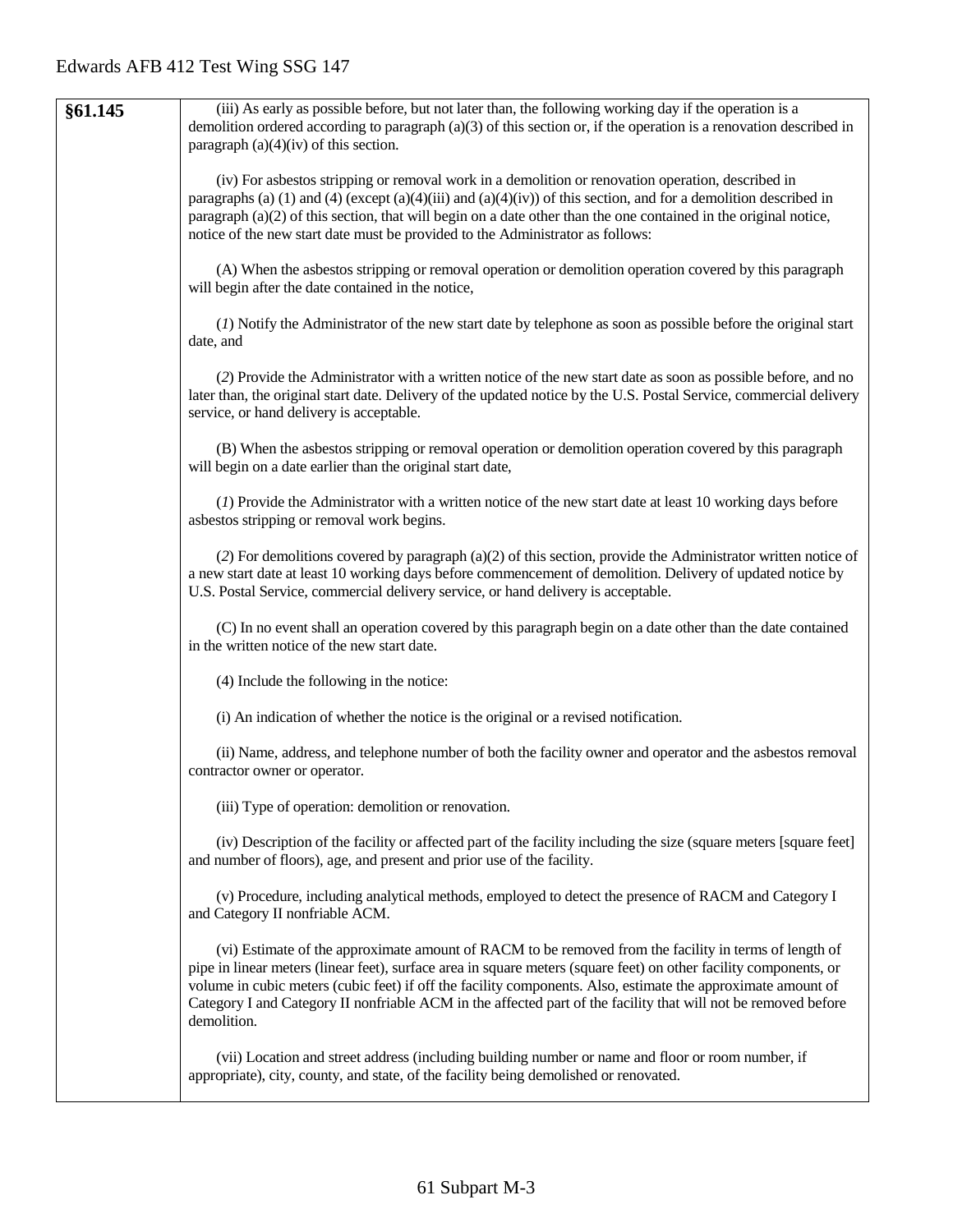| §61.145 | (iii) As early as possible before, but not later than, the following working day if the operation is a<br>demolition ordered according to paragraph $(a)(3)$ of this section or, if the operation is a renovation described in<br>paragraph $(a)(4)(iv)$ of this section.                                                                                                                                                                                                   |
|---------|-----------------------------------------------------------------------------------------------------------------------------------------------------------------------------------------------------------------------------------------------------------------------------------------------------------------------------------------------------------------------------------------------------------------------------------------------------------------------------|
|         | (iv) For asbestos stripping or removal work in a demolition or renovation operation, described in<br>paragraphs (a) (1) and (4) (except (a)(4)(iii) and (a)(4)(iv)) of this section, and for a demolition described in<br>paragraph (a)(2) of this section, that will begin on a date other than the one contained in the original notice,<br>notice of the new start date must be provided to the Administrator as follows:                                                |
|         | (A) When the asbestos stripping or removal operation or demolition operation covered by this paragraph<br>will begin after the date contained in the notice,                                                                                                                                                                                                                                                                                                                |
|         | (1) Notify the Administrator of the new start date by telephone as soon as possible before the original start<br>date, and                                                                                                                                                                                                                                                                                                                                                  |
|         | (2) Provide the Administrator with a written notice of the new start date as soon as possible before, and no<br>later than, the original start date. Delivery of the updated notice by the U.S. Postal Service, commercial delivery<br>service, or hand delivery is acceptable.                                                                                                                                                                                             |
|         | (B) When the asbestos stripping or removal operation or demolition operation covered by this paragraph<br>will begin on a date earlier than the original start date,                                                                                                                                                                                                                                                                                                        |
|         | (1) Provide the Administrator with a written notice of the new start date at least 10 working days before<br>asbestos stripping or removal work begins.                                                                                                                                                                                                                                                                                                                     |
|         | (2) For demolitions covered by paragraph (a)(2) of this section, provide the Administrator written notice of<br>a new start date at least 10 working days before commencement of demolition. Delivery of updated notice by<br>U.S. Postal Service, commercial delivery service, or hand delivery is acceptable.                                                                                                                                                             |
|         | (C) In no event shall an operation covered by this paragraph begin on a date other than the date contained<br>in the written notice of the new start date.                                                                                                                                                                                                                                                                                                                  |
|         | (4) Include the following in the notice:                                                                                                                                                                                                                                                                                                                                                                                                                                    |
|         | (i) An indication of whether the notice is the original or a revised notification.                                                                                                                                                                                                                                                                                                                                                                                          |
|         | (ii) Name, address, and telephone number of both the facility owner and operator and the asbestos removal<br>contractor owner or operator.                                                                                                                                                                                                                                                                                                                                  |
|         | (iii) Type of operation: demolition or renovation.                                                                                                                                                                                                                                                                                                                                                                                                                          |
|         | (iv) Description of the facility or affected part of the facility including the size (square meters [square feet]<br>and number of floors), age, and present and prior use of the facility.                                                                                                                                                                                                                                                                                 |
|         | (v) Procedure, including analytical methods, employed to detect the presence of RACM and Category I<br>and Category II nonfriable ACM.                                                                                                                                                                                                                                                                                                                                      |
|         | (vi) Estimate of the approximate amount of RACM to be removed from the facility in terms of length of<br>pipe in linear meters (linear feet), surface area in square meters (square feet) on other facility components, or<br>volume in cubic meters (cubic feet) if off the facility components. Also, estimate the approximate amount of<br>Category I and Category II nonfriable ACM in the affected part of the facility that will not be removed before<br>demolition. |
|         | (vii) Location and street address (including building number or name and floor or room number, if<br>appropriate), city, county, and state, of the facility being demolished or renovated.                                                                                                                                                                                                                                                                                  |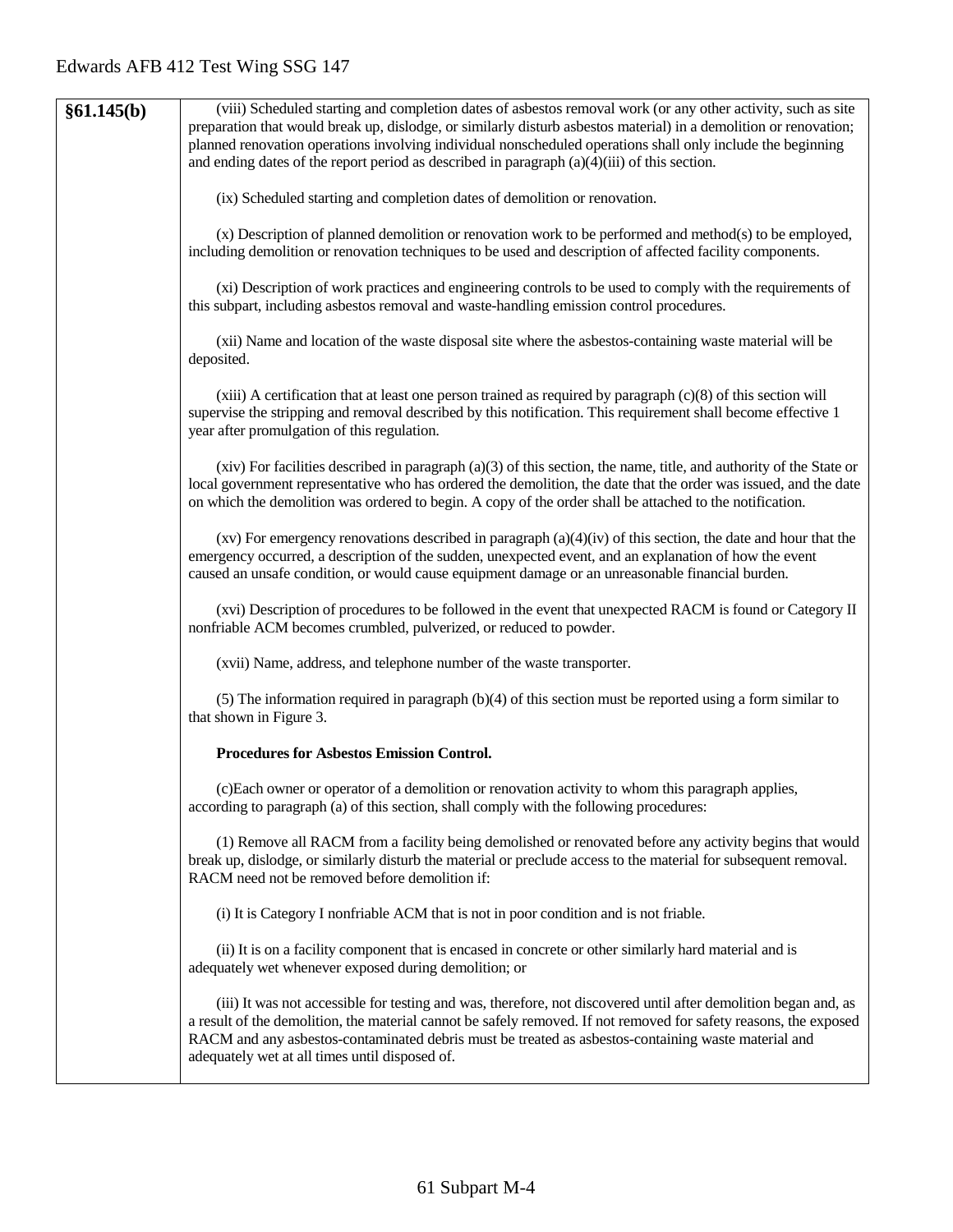| §61.145(b) | (viii) Scheduled starting and completion dates of asbestos removal work (or any other activity, such as site<br>preparation that would break up, dislodge, or similarly disturb asbestos material) in a demolition or renovation;<br>planned renovation operations involving individual nonscheduled operations shall only include the beginning<br>and ending dates of the report period as described in paragraph $(a)(4)(iii)$ of this section. |
|------------|----------------------------------------------------------------------------------------------------------------------------------------------------------------------------------------------------------------------------------------------------------------------------------------------------------------------------------------------------------------------------------------------------------------------------------------------------|
|            | (ix) Scheduled starting and completion dates of demolition or renovation.                                                                                                                                                                                                                                                                                                                                                                          |
|            | (x) Description of planned demolition or renovation work to be performed and method(s) to be employed,<br>including demolition or renovation techniques to be used and description of affected facility components.                                                                                                                                                                                                                                |
|            | (xi) Description of work practices and engineering controls to be used to comply with the requirements of<br>this subpart, including asbestos removal and waste-handling emission control procedures.                                                                                                                                                                                                                                              |
|            | (xii) Name and location of the waste disposal site where the asbestos-containing waste material will be<br>deposited.                                                                                                                                                                                                                                                                                                                              |
|            | $(xiii)$ A certification that at least one person trained as required by paragraph $(c)(8)$ of this section will<br>supervise the stripping and removal described by this notification. This requirement shall become effective 1<br>year after promulgation of this regulation.                                                                                                                                                                   |
|            | $(xiv)$ For facilities described in paragraph $(a)(3)$ of this section, the name, title, and authority of the State or<br>local government representative who has ordered the demolition, the date that the order was issued, and the date<br>on which the demolition was ordered to begin. A copy of the order shall be attached to the notification.                                                                                             |
|            | $(xv)$ For emergency renovations described in paragraph $(a)(4)(iv)$ of this section, the date and hour that the<br>emergency occurred, a description of the sudden, unexpected event, and an explanation of how the event<br>caused an unsafe condition, or would cause equipment damage or an unreasonable financial burden.                                                                                                                     |
|            | (xvi) Description of procedures to be followed in the event that unexpected RACM is found or Category II<br>nonfriable ACM becomes crumbled, pulverized, or reduced to powder.                                                                                                                                                                                                                                                                     |
|            | (xvii) Name, address, and telephone number of the waste transporter.                                                                                                                                                                                                                                                                                                                                                                               |
|            | (5) The information required in paragraph (b)(4) of this section must be reported using a form similar to<br>that shown in Figure 3.                                                                                                                                                                                                                                                                                                               |
|            | Procedures for Asbestos Emission Control.                                                                                                                                                                                                                                                                                                                                                                                                          |
|            | (c)Each owner or operator of a demolition or renovation activity to whom this paragraph applies,<br>according to paragraph (a) of this section, shall comply with the following procedures:                                                                                                                                                                                                                                                        |
|            | (1) Remove all RACM from a facility being demolished or renovated before any activity begins that would<br>break up, dislodge, or similarly disturb the material or preclude access to the material for subsequent removal.<br>RACM need not be removed before demolition if:                                                                                                                                                                      |
|            | (i) It is Category I nonfriable ACM that is not in poor condition and is not friable.                                                                                                                                                                                                                                                                                                                                                              |
|            | (ii) It is on a facility component that is encased in concrete or other similarly hard material and is<br>adequately wet whenever exposed during demolition; or                                                                                                                                                                                                                                                                                    |
|            | (iii) It was not accessible for testing and was, therefore, not discovered until after demolition began and, as<br>a result of the demolition, the material cannot be safely removed. If not removed for safety reasons, the exposed<br>RACM and any asbestos-contaminated debris must be treated as asbestos-containing waste material and<br>adequately wet at all times until disposed of.                                                      |
|            |                                                                                                                                                                                                                                                                                                                                                                                                                                                    |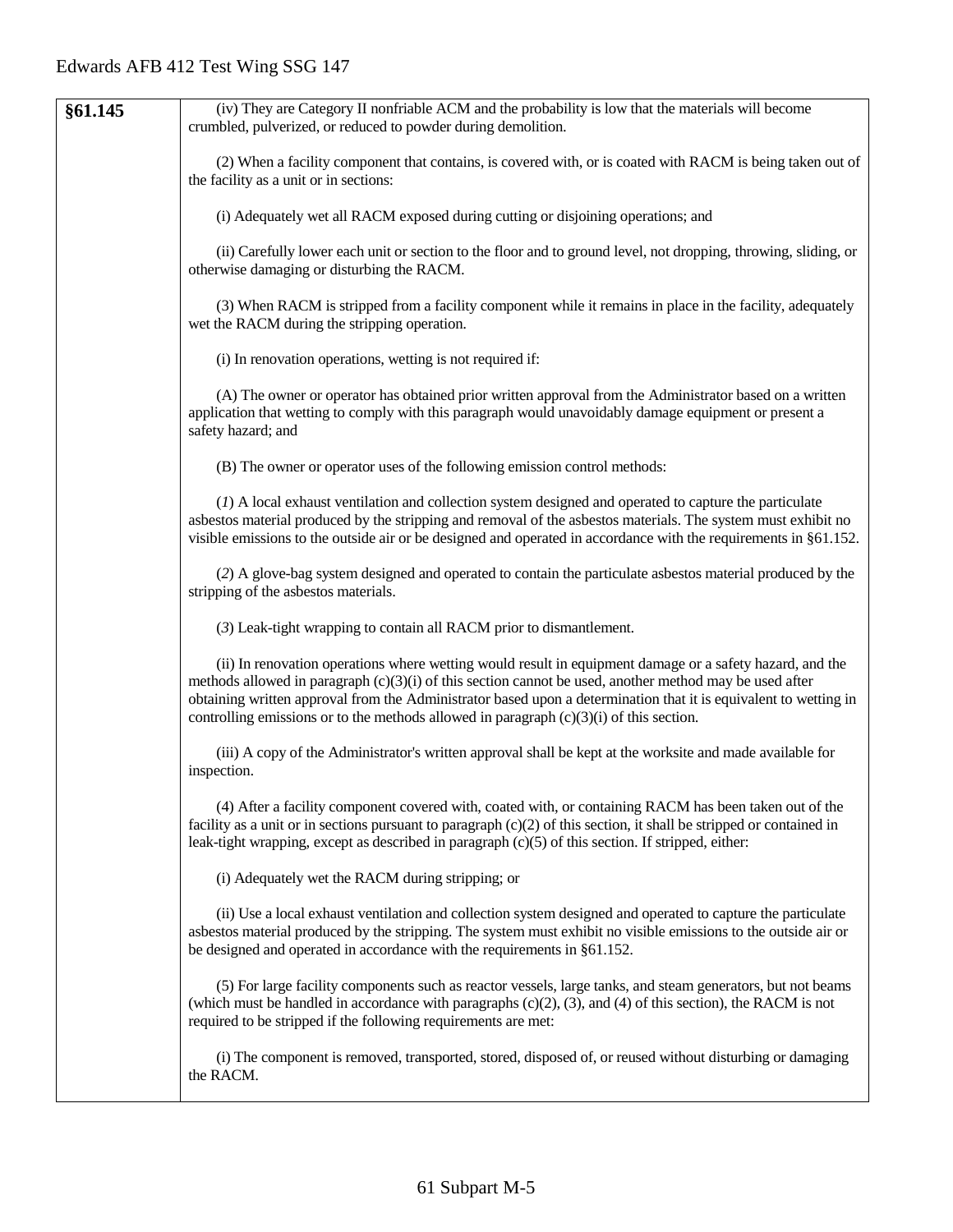| §61.145 | (iv) They are Category II nonfriable ACM and the probability is low that the materials will become                                                                                                                                                                                                                                                                                                                                     |
|---------|----------------------------------------------------------------------------------------------------------------------------------------------------------------------------------------------------------------------------------------------------------------------------------------------------------------------------------------------------------------------------------------------------------------------------------------|
|         | crumbled, pulverized, or reduced to powder during demolition.                                                                                                                                                                                                                                                                                                                                                                          |
|         | (2) When a facility component that contains, is covered with, or is coated with RACM is being taken out of<br>the facility as a unit or in sections:                                                                                                                                                                                                                                                                                   |
|         | (i) Adequately wet all RACM exposed during cutting or disjoining operations; and                                                                                                                                                                                                                                                                                                                                                       |
|         | (ii) Carefully lower each unit or section to the floor and to ground level, not dropping, throwing, sliding, or<br>otherwise damaging or disturbing the RACM.                                                                                                                                                                                                                                                                          |
|         | (3) When RACM is stripped from a facility component while it remains in place in the facility, adequately<br>wet the RACM during the stripping operation.                                                                                                                                                                                                                                                                              |
|         | (i) In renovation operations, wetting is not required if:                                                                                                                                                                                                                                                                                                                                                                              |
|         | (A) The owner or operator has obtained prior written approval from the Administrator based on a written<br>application that wetting to comply with this paragraph would unavoidably damage equipment or present a<br>safety hazard; and                                                                                                                                                                                                |
|         | (B) The owner or operator uses of the following emission control methods:                                                                                                                                                                                                                                                                                                                                                              |
|         | (1) A local exhaust ventilation and collection system designed and operated to capture the particulate<br>asbestos material produced by the stripping and removal of the asbestos materials. The system must exhibit no<br>visible emissions to the outside air or be designed and operated in accordance with the requirements in §61.152.                                                                                            |
|         | (2) A glove-bag system designed and operated to contain the particulate asbestos material produced by the<br>stripping of the asbestos materials.                                                                                                                                                                                                                                                                                      |
|         | (3) Leak-tight wrapping to contain all RACM prior to dismantlement.                                                                                                                                                                                                                                                                                                                                                                    |
|         | (ii) In renovation operations where wetting would result in equipment damage or a safety hazard, and the<br>methods allowed in paragraph $(c)(3)(i)$ of this section cannot be used, another method may be used after<br>obtaining written approval from the Administrator based upon a determination that it is equivalent to wetting in<br>controlling emissions or to the methods allowed in paragraph $(c)(3)(i)$ of this section. |
|         | (iii) A copy of the Administrator's written approval shall be kept at the worksite and made available for<br>inspection.                                                                                                                                                                                                                                                                                                               |
|         | (4) After a facility component covered with, coated with, or containing RACM has been taken out of the<br>facility as a unit or in sections pursuant to paragraph $(c)(2)$ of this section, it shall be stripped or contained in<br>leak-tight wrapping, except as described in paragraph $(c)(5)$ of this section. If stripped, either:                                                                                               |
|         | (i) Adequately wet the RACM during stripping; or                                                                                                                                                                                                                                                                                                                                                                                       |
|         | (ii) Use a local exhaust ventilation and collection system designed and operated to capture the particulate<br>asbestos material produced by the stripping. The system must exhibit no visible emissions to the outside air or<br>be designed and operated in accordance with the requirements in §61.152.                                                                                                                             |
|         | (5) For large facility components such as reactor vessels, large tanks, and steam generators, but not beams<br>(which must be handled in accordance with paragraphs $(c)(2)$ , $(3)$ , and $(4)$ of this section), the RACM is not<br>required to be stripped if the following requirements are met:                                                                                                                                   |
|         | (i) The component is removed, transported, stored, disposed of, or reused without disturbing or damaging<br>the RACM.                                                                                                                                                                                                                                                                                                                  |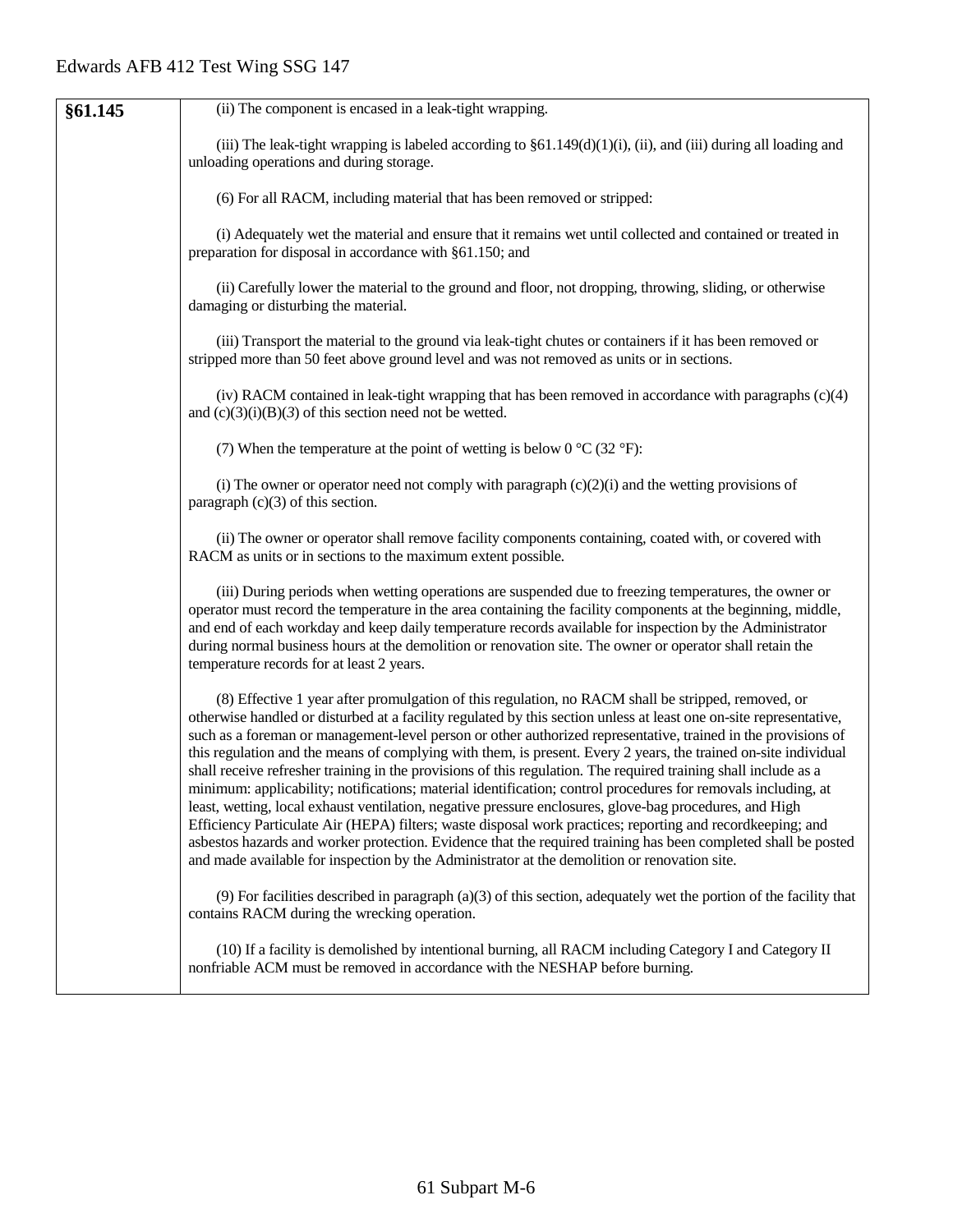| §61.145 | (ii) The component is encased in a leak-tight wrapping.                                                                                                                                                                                                                                                                                                                                                                                                                                                                                                                                                                                                                                                                                                                                                                                                                                                                                                                                                                                                                                                                                     |
|---------|---------------------------------------------------------------------------------------------------------------------------------------------------------------------------------------------------------------------------------------------------------------------------------------------------------------------------------------------------------------------------------------------------------------------------------------------------------------------------------------------------------------------------------------------------------------------------------------------------------------------------------------------------------------------------------------------------------------------------------------------------------------------------------------------------------------------------------------------------------------------------------------------------------------------------------------------------------------------------------------------------------------------------------------------------------------------------------------------------------------------------------------------|
|         | (iii) The leak-tight wrapping is labeled according to $\S61.149(d)(1)(i)$ , (ii), and (iii) during all loading and<br>unloading operations and during storage.                                                                                                                                                                                                                                                                                                                                                                                                                                                                                                                                                                                                                                                                                                                                                                                                                                                                                                                                                                              |
|         | (6) For all RACM, including material that has been removed or stripped:                                                                                                                                                                                                                                                                                                                                                                                                                                                                                                                                                                                                                                                                                                                                                                                                                                                                                                                                                                                                                                                                     |
|         | (i) Adequately wet the material and ensure that it remains wet until collected and contained or treated in<br>preparation for disposal in accordance with §61.150; and                                                                                                                                                                                                                                                                                                                                                                                                                                                                                                                                                                                                                                                                                                                                                                                                                                                                                                                                                                      |
|         | (ii) Carefully lower the material to the ground and floor, not dropping, throwing, sliding, or otherwise<br>damaging or disturbing the material.                                                                                                                                                                                                                                                                                                                                                                                                                                                                                                                                                                                                                                                                                                                                                                                                                                                                                                                                                                                            |
|         | (iii) Transport the material to the ground via leak-tight chutes or containers if it has been removed or<br>stripped more than 50 feet above ground level and was not removed as units or in sections.                                                                                                                                                                                                                                                                                                                                                                                                                                                                                                                                                                                                                                                                                                                                                                                                                                                                                                                                      |
|         | (iv) RACM contained in leak-tight wrapping that has been removed in accordance with paragraphs $(c)(4)$<br>and $(c)(3)(i)(B)(3)$ of this section need not be wetted.                                                                                                                                                                                                                                                                                                                                                                                                                                                                                                                                                                                                                                                                                                                                                                                                                                                                                                                                                                        |
|         | (7) When the temperature at the point of wetting is below $0^{\circ}C(32^{\circ}F)$ :                                                                                                                                                                                                                                                                                                                                                                                                                                                                                                                                                                                                                                                                                                                                                                                                                                                                                                                                                                                                                                                       |
|         | (i) The owner or operator need not comply with paragraph $(c)(2)(i)$ and the wetting provisions of<br>paragraph $(c)(3)$ of this section.                                                                                                                                                                                                                                                                                                                                                                                                                                                                                                                                                                                                                                                                                                                                                                                                                                                                                                                                                                                                   |
|         | (ii) The owner or operator shall remove facility components containing, coated with, or covered with<br>RACM as units or in sections to the maximum extent possible.                                                                                                                                                                                                                                                                                                                                                                                                                                                                                                                                                                                                                                                                                                                                                                                                                                                                                                                                                                        |
|         | (iii) During periods when wetting operations are suspended due to freezing temperatures, the owner or<br>operator must record the temperature in the area containing the facility components at the beginning, middle,<br>and end of each workday and keep daily temperature records available for inspection by the Administrator<br>during normal business hours at the demolition or renovation site. The owner or operator shall retain the<br>temperature records for at least 2 years.                                                                                                                                                                                                                                                                                                                                                                                                                                                                                                                                                                                                                                                |
|         | (8) Effective 1 year after promulgation of this regulation, no RACM shall be stripped, removed, or<br>otherwise handled or disturbed at a facility regulated by this section unless at least one on-site representative,<br>such as a foreman or management-level person or other authorized representative, trained in the provisions of<br>this regulation and the means of complying with them, is present. Every 2 years, the trained on-site individual<br>shall receive refresher training in the provisions of this regulation. The required training shall include as a<br>minimum: applicability; notifications; material identification; control procedures for removals including, at<br>least, wetting, local exhaust ventilation, negative pressure enclosures, glove-bag procedures, and High<br>Efficiency Particulate Air (HEPA) filters; waste disposal work practices; reporting and recordkeeping; and<br>asbestos hazards and worker protection. Evidence that the required training has been completed shall be posted<br>and made available for inspection by the Administrator at the demolition or renovation site. |
|         | $(9)$ For facilities described in paragraph (a)(3) of this section, adequately wet the portion of the facility that<br>contains RACM during the wrecking operation.                                                                                                                                                                                                                                                                                                                                                                                                                                                                                                                                                                                                                                                                                                                                                                                                                                                                                                                                                                         |
|         | (10) If a facility is demolished by intentional burning, all RACM including Category I and Category II<br>nonfriable ACM must be removed in accordance with the NESHAP before burning.                                                                                                                                                                                                                                                                                                                                                                                                                                                                                                                                                                                                                                                                                                                                                                                                                                                                                                                                                      |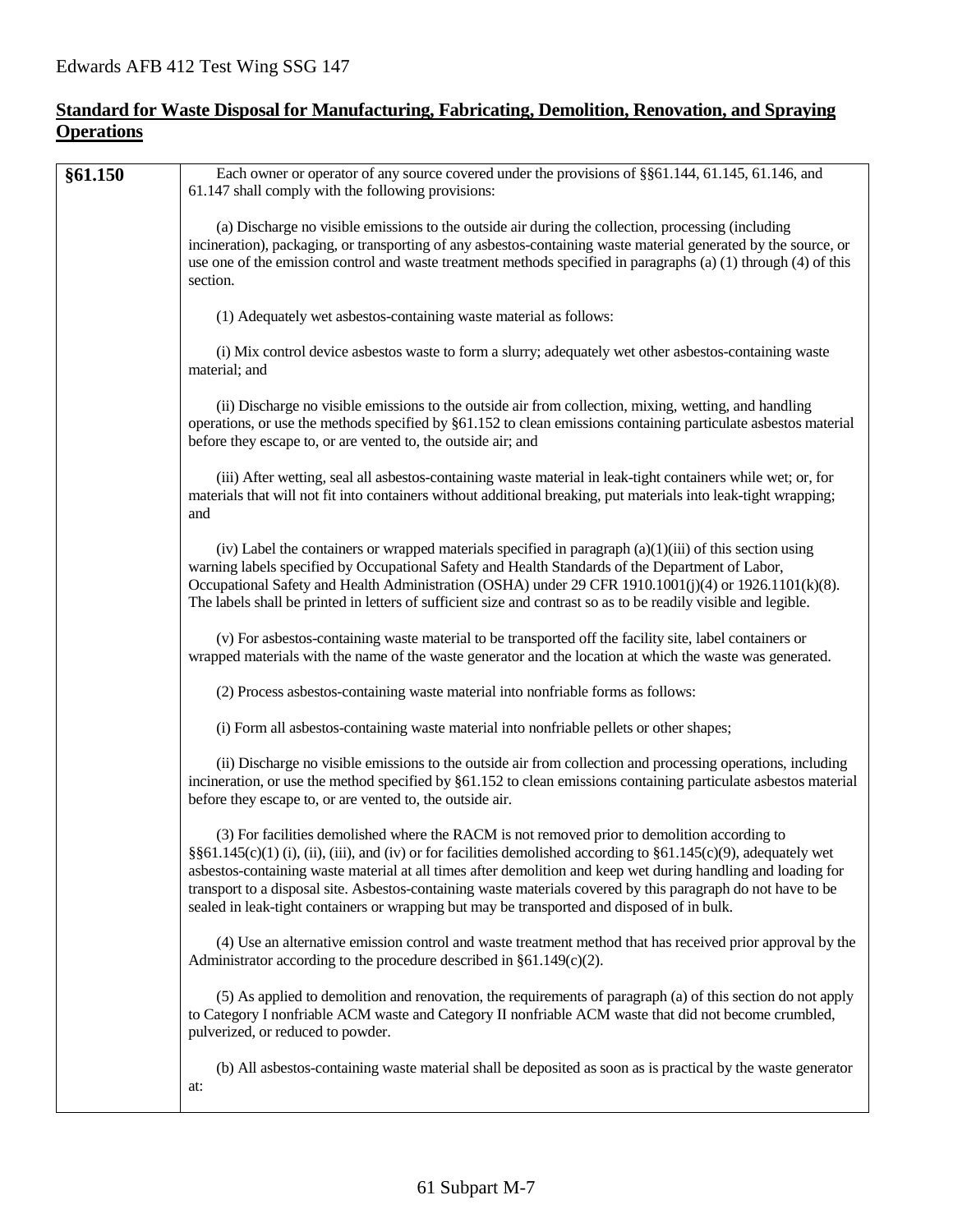#### **Standard for Waste Disposal for Manufacturing, Fabricating, Demolition, Renovation, and Spraying Operations**

| (a) Discharge no visible emissions to the outside air during the collection, processing (including<br>section.<br>(1) Adequately wet asbestos-containing waste material as follows:<br>(i) Mix control device asbestos waste to form a slurry; adequately wet other asbestos-containing waste<br>material; and<br>(ii) Discharge no visible emissions to the outside air from collection, mixing, wetting, and handling<br>before they escape to, or are vented to, the outside air; and<br>(iii) After wetting, seal all asbestos-containing waste material in leak-tight containers while wet; or, for<br>materials that will not fit into containers without additional breaking, put materials into leak-tight wrapping;<br>and<br>(iv) Label the containers or wrapped materials specified in paragraph $(a)(1)(iii)$ of this section using<br>warning labels specified by Occupational Safety and Health Standards of the Department of Labor,<br>The labels shall be printed in letters of sufficient size and contrast so as to be readily visible and legible.<br>(v) For asbestos-containing waste material to be transported off the facility site, label containers or<br>wrapped materials with the name of the waste generator and the location at which the waste was generated.<br>(2) Process asbestos-containing waste material into nonfriable forms as follows:<br>(i) Form all asbestos-containing waste material into nonfriable pellets or other shapes;<br>before they escape to, or are vented to, the outside air.<br>(3) For facilities demolished where the RACM is not removed prior to demolition according to<br>§§61.145(c)(1) (i), (ii), (iii), and (iv) or for facilities demolished according to §61.145(c)(9), adequately wet<br>transport to a disposal site. Asbestos-containing waste materials covered by this paragraph do not have to be<br>sealed in leak-tight containers or wrapping but may be transported and disposed of in bulk. | §61.150 | Each owner or operator of any source covered under the provisions of §§61.144, 61.145, 61.146, and<br>61.147 shall comply with the following provisions:                                                                               |
|-----------------------------------------------------------------------------------------------------------------------------------------------------------------------------------------------------------------------------------------------------------------------------------------------------------------------------------------------------------------------------------------------------------------------------------------------------------------------------------------------------------------------------------------------------------------------------------------------------------------------------------------------------------------------------------------------------------------------------------------------------------------------------------------------------------------------------------------------------------------------------------------------------------------------------------------------------------------------------------------------------------------------------------------------------------------------------------------------------------------------------------------------------------------------------------------------------------------------------------------------------------------------------------------------------------------------------------------------------------------------------------------------------------------------------------------------------------------------------------------------------------------------------------------------------------------------------------------------------------------------------------------------------------------------------------------------------------------------------------------------------------------------------------------------------------------------------------------------------------------------------------------------------------------------------------------------------------------------------------|---------|----------------------------------------------------------------------------------------------------------------------------------------------------------------------------------------------------------------------------------------|
|                                                                                                                                                                                                                                                                                                                                                                                                                                                                                                                                                                                                                                                                                                                                                                                                                                                                                                                                                                                                                                                                                                                                                                                                                                                                                                                                                                                                                                                                                                                                                                                                                                                                                                                                                                                                                                                                                                                                                                                   |         | incineration), packaging, or transporting of any asbestos-containing waste material generated by the source, or<br>use one of the emission control and waste treatment methods specified in paragraphs $(a)$ (1) through $(4)$ of this |
|                                                                                                                                                                                                                                                                                                                                                                                                                                                                                                                                                                                                                                                                                                                                                                                                                                                                                                                                                                                                                                                                                                                                                                                                                                                                                                                                                                                                                                                                                                                                                                                                                                                                                                                                                                                                                                                                                                                                                                                   |         |                                                                                                                                                                                                                                        |
|                                                                                                                                                                                                                                                                                                                                                                                                                                                                                                                                                                                                                                                                                                                                                                                                                                                                                                                                                                                                                                                                                                                                                                                                                                                                                                                                                                                                                                                                                                                                                                                                                                                                                                                                                                                                                                                                                                                                                                                   |         |                                                                                                                                                                                                                                        |
|                                                                                                                                                                                                                                                                                                                                                                                                                                                                                                                                                                                                                                                                                                                                                                                                                                                                                                                                                                                                                                                                                                                                                                                                                                                                                                                                                                                                                                                                                                                                                                                                                                                                                                                                                                                                                                                                                                                                                                                   |         | operations, or use the methods specified by §61.152 to clean emissions containing particulate asbestos material                                                                                                                        |
|                                                                                                                                                                                                                                                                                                                                                                                                                                                                                                                                                                                                                                                                                                                                                                                                                                                                                                                                                                                                                                                                                                                                                                                                                                                                                                                                                                                                                                                                                                                                                                                                                                                                                                                                                                                                                                                                                                                                                                                   |         |                                                                                                                                                                                                                                        |
|                                                                                                                                                                                                                                                                                                                                                                                                                                                                                                                                                                                                                                                                                                                                                                                                                                                                                                                                                                                                                                                                                                                                                                                                                                                                                                                                                                                                                                                                                                                                                                                                                                                                                                                                                                                                                                                                                                                                                                                   |         | Occupational Safety and Health Administration (OSHA) under 29 CFR 1910.1001(j)(4) or 1926.1101(k)(8).                                                                                                                                  |
|                                                                                                                                                                                                                                                                                                                                                                                                                                                                                                                                                                                                                                                                                                                                                                                                                                                                                                                                                                                                                                                                                                                                                                                                                                                                                                                                                                                                                                                                                                                                                                                                                                                                                                                                                                                                                                                                                                                                                                                   |         |                                                                                                                                                                                                                                        |
|                                                                                                                                                                                                                                                                                                                                                                                                                                                                                                                                                                                                                                                                                                                                                                                                                                                                                                                                                                                                                                                                                                                                                                                                                                                                                                                                                                                                                                                                                                                                                                                                                                                                                                                                                                                                                                                                                                                                                                                   |         |                                                                                                                                                                                                                                        |
|                                                                                                                                                                                                                                                                                                                                                                                                                                                                                                                                                                                                                                                                                                                                                                                                                                                                                                                                                                                                                                                                                                                                                                                                                                                                                                                                                                                                                                                                                                                                                                                                                                                                                                                                                                                                                                                                                                                                                                                   |         |                                                                                                                                                                                                                                        |
|                                                                                                                                                                                                                                                                                                                                                                                                                                                                                                                                                                                                                                                                                                                                                                                                                                                                                                                                                                                                                                                                                                                                                                                                                                                                                                                                                                                                                                                                                                                                                                                                                                                                                                                                                                                                                                                                                                                                                                                   |         | (ii) Discharge no visible emissions to the outside air from collection and processing operations, including<br>incineration, or use the method specified by §61.152 to clean emissions containing particulate asbestos material        |
|                                                                                                                                                                                                                                                                                                                                                                                                                                                                                                                                                                                                                                                                                                                                                                                                                                                                                                                                                                                                                                                                                                                                                                                                                                                                                                                                                                                                                                                                                                                                                                                                                                                                                                                                                                                                                                                                                                                                                                                   |         | asbestos-containing waste material at all times after demolition and keep wet during handling and loading for                                                                                                                          |
| Administrator according to the procedure described in $\S61.149(c)(2)$ .                                                                                                                                                                                                                                                                                                                                                                                                                                                                                                                                                                                                                                                                                                                                                                                                                                                                                                                                                                                                                                                                                                                                                                                                                                                                                                                                                                                                                                                                                                                                                                                                                                                                                                                                                                                                                                                                                                          |         | (4) Use an alternative emission control and waste treatment method that has received prior approval by the                                                                                                                             |
| to Category I nonfriable ACM waste and Category II nonfriable ACM waste that did not become crumbled,<br>pulverized, or reduced to powder.                                                                                                                                                                                                                                                                                                                                                                                                                                                                                                                                                                                                                                                                                                                                                                                                                                                                                                                                                                                                                                                                                                                                                                                                                                                                                                                                                                                                                                                                                                                                                                                                                                                                                                                                                                                                                                        |         | (5) As applied to demolition and renovation, the requirements of paragraph (a) of this section do not apply                                                                                                                            |
| at:                                                                                                                                                                                                                                                                                                                                                                                                                                                                                                                                                                                                                                                                                                                                                                                                                                                                                                                                                                                                                                                                                                                                                                                                                                                                                                                                                                                                                                                                                                                                                                                                                                                                                                                                                                                                                                                                                                                                                                               |         | (b) All asbestos-containing waste material shall be deposited as soon as is practical by the waste generator                                                                                                                           |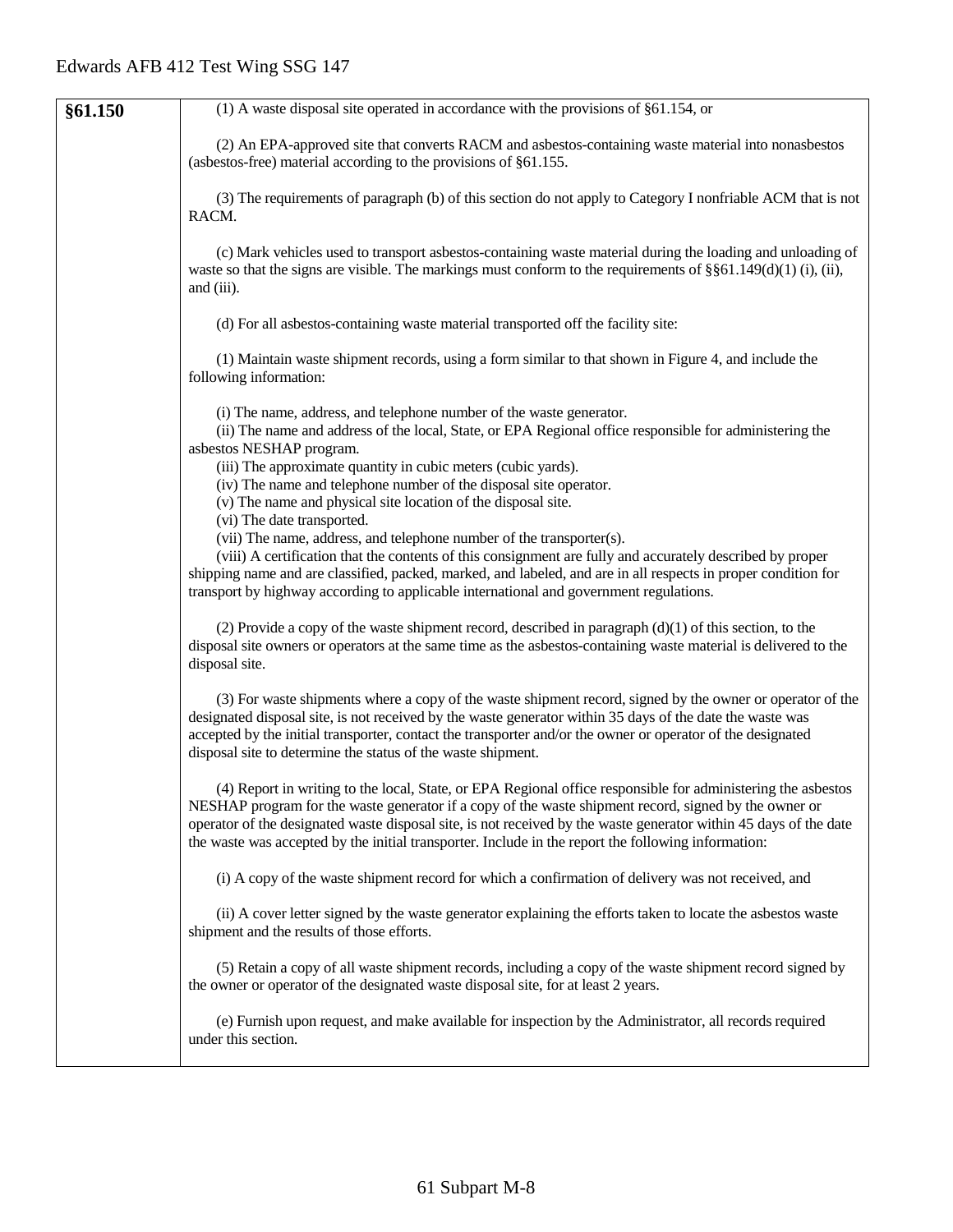| §61.150 | $(1)$ A waste disposal site operated in accordance with the provisions of §61.154, or                                                                                                                                                                                                                                                                                                                                                             |
|---------|---------------------------------------------------------------------------------------------------------------------------------------------------------------------------------------------------------------------------------------------------------------------------------------------------------------------------------------------------------------------------------------------------------------------------------------------------|
|         | (2) An EPA-approved site that converts RACM and asbestos-containing waste material into nonasbestos<br>(asbestos-free) material according to the provisions of $§61.155$ .                                                                                                                                                                                                                                                                        |
|         | (3) The requirements of paragraph (b) of this section do not apply to Category I nonfriable ACM that is not<br>RACM.                                                                                                                                                                                                                                                                                                                              |
|         | (c) Mark vehicles used to transport asbestos-containing waste material during the loading and unloading of<br>waste so that the signs are visible. The markings must conform to the requirements of $\S$ $61.149(d)(1)$ (i), (ii),<br>and (iii).                                                                                                                                                                                                  |
|         | (d) For all asbestos-containing waste material transported off the facility site:                                                                                                                                                                                                                                                                                                                                                                 |
|         | (1) Maintain waste shipment records, using a form similar to that shown in Figure 4, and include the<br>following information:                                                                                                                                                                                                                                                                                                                    |
|         | (i) The name, address, and telephone number of the waste generator.<br>(ii) The name and address of the local, State, or EPA Regional office responsible for administering the<br>asbestos NESHAP program.<br>(iii) The approximate quantity in cubic meters (cubic yards).<br>(iv) The name and telephone number of the disposal site operator.<br>(v) The name and physical site location of the disposal site.                                 |
|         | (vi) The date transported.<br>(vii) The name, address, and telephone number of the transporter(s).<br>(viii) A certification that the contents of this consignment are fully and accurately described by proper<br>shipping name and are classified, packed, marked, and labeled, and are in all respects in proper condition for<br>transport by highway according to applicable international and government regulations.                       |
|         | (2) Provide a copy of the waste shipment record, described in paragraph $(d)(1)$ of this section, to the<br>disposal site owners or operators at the same time as the asbestos-containing waste material is delivered to the<br>disposal site.                                                                                                                                                                                                    |
|         | (3) For waste shipments where a copy of the waste shipment record, signed by the owner or operator of the<br>designated disposal site, is not received by the waste generator within 35 days of the date the waste was<br>accepted by the initial transporter, contact the transporter and/or the owner or operator of the designated<br>disposal site to determine the status of the waste shipment.                                             |
|         | (4) Report in writing to the local, State, or EPA Regional office responsible for administering the asbestos<br>NESHAP program for the waste generator if a copy of the waste shipment record, signed by the owner or<br>operator of the designated waste disposal site, is not received by the waste generator within 45 days of the date<br>the waste was accepted by the initial transporter. Include in the report the following information: |
|         | (i) A copy of the waste shipment record for which a confirmation of delivery was not received, and                                                                                                                                                                                                                                                                                                                                                |
|         | (ii) A cover letter signed by the waste generator explaining the efforts taken to locate the asbestos waste<br>shipment and the results of those efforts.                                                                                                                                                                                                                                                                                         |
|         | (5) Retain a copy of all waste shipment records, including a copy of the waste shipment record signed by<br>the owner or operator of the designated waste disposal site, for at least 2 years.                                                                                                                                                                                                                                                    |
|         | (e) Furnish upon request, and make available for inspection by the Administrator, all records required<br>under this section.                                                                                                                                                                                                                                                                                                                     |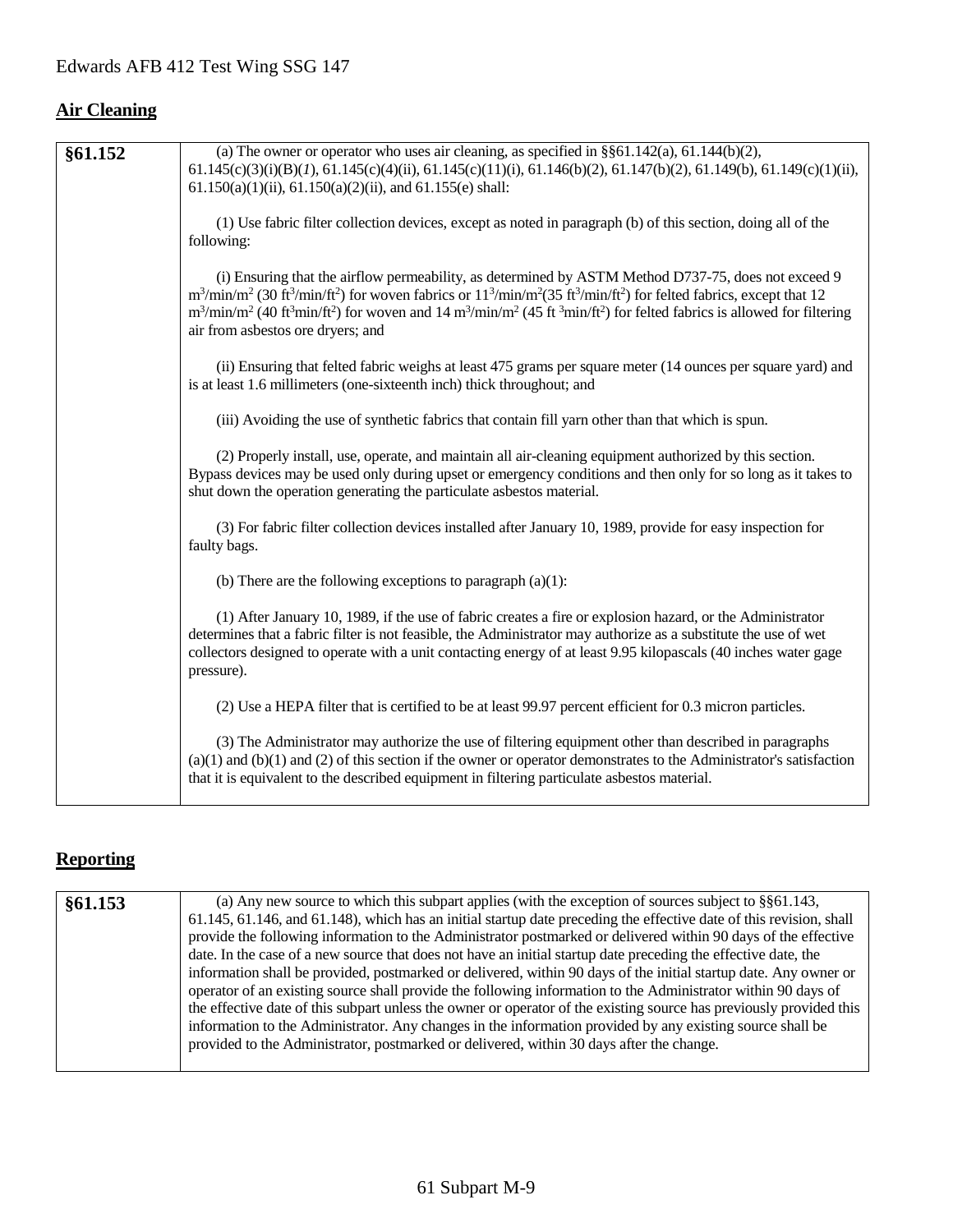# **Air Cleaning**

| §61.152 | (a) The owner or operator who uses air cleaning, as specified in $\S$ §61.142(a), 61.144(b)(2),                                                                                                                                                                                                 |
|---------|-------------------------------------------------------------------------------------------------------------------------------------------------------------------------------------------------------------------------------------------------------------------------------------------------|
|         | $61.145(c)(3)(i)(B)(I), 61.145(c)(4)(ii), 61.145(c)(11)(i), 61.146(b)(2), 61.147(b)(2), 61.149(b), 61.149(c)(1)(ii),$                                                                                                                                                                           |
|         | $61.150(a)(1)(ii)$ , $61.150(a)(2)(ii)$ , and $61.155(e)$ shall:                                                                                                                                                                                                                                |
|         | (1) Use fabric filter collection devices, except as noted in paragraph (b) of this section, doing all of the                                                                                                                                                                                    |
|         | following:                                                                                                                                                                                                                                                                                      |
|         |                                                                                                                                                                                                                                                                                                 |
|         | (i) Ensuring that the airflow permeability, as determined by ASTM Method D737-75, does not exceed 9<br>$m^3/\text{min/m}^2$ (30 ft <sup>3</sup> /min/ft <sup>2</sup> ) for woven fabrics or $11^3/\text{min/m}^2$ (35 ft <sup>3</sup> /min/ft <sup>2</sup> ) for felted fabrics, except that 12 |
|         | $m^3/\text{min/m}^2$ (40 ft <sup>3</sup> min/ft <sup>2</sup> ) for woven and 14 m <sup>3</sup> /min/m <sup>2</sup> (45 ft <sup>3</sup> min/ft <sup>2</sup> ) for felted fabrics is allowed for filtering                                                                                        |
|         | air from asbestos ore dryers; and                                                                                                                                                                                                                                                               |
|         | (ii) Ensuring that felted fabric weighs at least 475 grams per square meter (14 ounces per square yard) and                                                                                                                                                                                     |
|         | is at least 1.6 millimeters (one-sixteenth inch) thick throughout; and                                                                                                                                                                                                                          |
|         |                                                                                                                                                                                                                                                                                                 |
|         | (iii) Avoiding the use of synthetic fabrics that contain fill yarn other than that which is spun.                                                                                                                                                                                               |
|         | (2) Properly install, use, operate, and maintain all air-cleaning equipment authorized by this section.                                                                                                                                                                                         |
|         | Bypass devices may be used only during upset or emergency conditions and then only for so long as it takes to                                                                                                                                                                                   |
|         | shut down the operation generating the particulate asbestos material.                                                                                                                                                                                                                           |
|         | (3) For fabric filter collection devices installed after January 10, 1989, provide for easy inspection for                                                                                                                                                                                      |
|         | faulty bags.                                                                                                                                                                                                                                                                                    |
|         | (b) There are the following exceptions to paragraph $(a)(1)$ :                                                                                                                                                                                                                                  |
|         |                                                                                                                                                                                                                                                                                                 |
|         | (1) After January 10, 1989, if the use of fabric creates a fire or explosion hazard, or the Administrator                                                                                                                                                                                       |
|         | determines that a fabric filter is not feasible, the Administrator may authorize as a substitute the use of wet<br>collectors designed to operate with a unit contacting energy of at least 9.95 kilopascals (40 inches water gage                                                              |
|         | pressure).                                                                                                                                                                                                                                                                                      |
|         |                                                                                                                                                                                                                                                                                                 |
|         | (2) Use a HEPA filter that is certified to be at least 99.97 percent efficient for 0.3 micron particles.                                                                                                                                                                                        |
|         | (3) The Administrator may authorize the use of filtering equipment other than described in paragraphs                                                                                                                                                                                           |
|         | $(a)(1)$ and $(b)(1)$ and $(2)$ of this section if the owner or operator demonstrates to the Administrator's satisfaction                                                                                                                                                                       |
|         | that it is equivalent to the described equipment in filtering particulate asbestos material.                                                                                                                                                                                                    |
|         |                                                                                                                                                                                                                                                                                                 |

# **Reporting**

| §61.153 | (a) Any new source to which this subpart applies (with the exception of sources subject to $\S$ §61.143,            |
|---------|---------------------------------------------------------------------------------------------------------------------|
|         | 61.145, 61.146, and 61.148), which has an initial startup date preceding the effective date of this revision, shall |
|         | provide the following information to the Administrator postmarked or delivered within 90 days of the effective      |
|         | date. In the case of a new source that does not have an initial startup date preceding the effective date, the      |
|         | information shall be provided, postmarked or delivered, within 90 days of the initial startup date. Any owner or    |
|         | operator of an existing source shall provide the following information to the Administrator within 90 days of       |
|         | the effective date of this subpart unless the owner or operator of the existing source has previously provided this |
|         | information to the Administrator. Any changes in the information provided by any existing source shall be           |
|         | provided to the Administrator, postmarked or delivered, within 30 days after the change.                            |
|         |                                                                                                                     |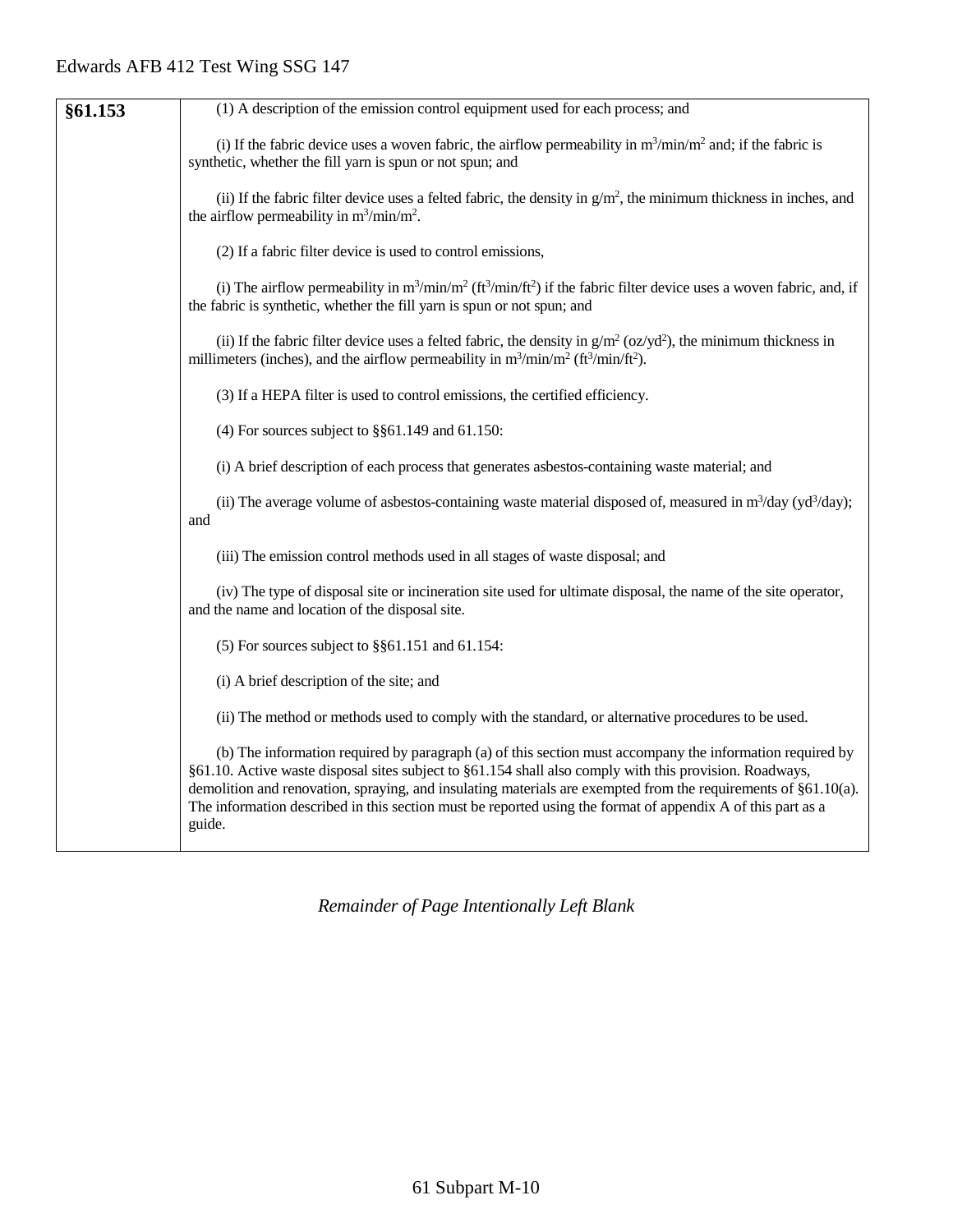| §61.153 | (1) A description of the emission control equipment used for each process; and                                                                                                                                                                                                                                                                                                                                                                                 |
|---------|----------------------------------------------------------------------------------------------------------------------------------------------------------------------------------------------------------------------------------------------------------------------------------------------------------------------------------------------------------------------------------------------------------------------------------------------------------------|
|         | (i) If the fabric device uses a woven fabric, the airflow permeability in $m^3/\text{min}/m^2$ and; if the fabric is<br>synthetic, whether the fill yarn is spun or not spun; and                                                                                                                                                                                                                                                                              |
|         | (ii) If the fabric filter device uses a felted fabric, the density in $g/m^2$ , the minimum thickness in inches, and<br>the airflow permeability in $m^3/\text{min}/m^2$ .                                                                                                                                                                                                                                                                                     |
|         | (2) If a fabric filter device is used to control emissions,                                                                                                                                                                                                                                                                                                                                                                                                    |
|         | (i) The airflow permeability in $m^3/\text{min}/m^2$ ( $ft^3/\text{min}/ft^2$ ) if the fabric filter device uses a woven fabric, and, if<br>the fabric is synthetic, whether the fill yarn is spun or not spun; and                                                                                                                                                                                                                                            |
|         | (ii) If the fabric filter device uses a felted fabric, the density in $g/m^2$ (oz/yd <sup>2</sup> ), the minimum thickness in<br>millimeters (inches), and the airflow permeability in $m^3 / min/m^2$ (ft <sup>3</sup> /min/ft <sup>2</sup> ).                                                                                                                                                                                                                |
|         | (3) If a HEPA filter is used to control emissions, the certified efficiency.                                                                                                                                                                                                                                                                                                                                                                                   |
|         | (4) For sources subject to $\S$ §61.149 and 61.150:                                                                                                                                                                                                                                                                                                                                                                                                            |
|         | (i) A brief description of each process that generates asbestos-containing waste material; and                                                                                                                                                                                                                                                                                                                                                                 |
|         | (ii) The average volume of asbestos-containing waste material disposed of, measured in $m^3$ /day (yd <sup>3</sup> /day);<br>and                                                                                                                                                                                                                                                                                                                               |
|         | (iii) The emission control methods used in all stages of waste disposal; and                                                                                                                                                                                                                                                                                                                                                                                   |
|         | (iv) The type of disposal site or incineration site used for ultimate disposal, the name of the site operator,<br>and the name and location of the disposal site.                                                                                                                                                                                                                                                                                              |
|         | $(5)$ For sources subject to §§61.151 and 61.154:                                                                                                                                                                                                                                                                                                                                                                                                              |
|         | (i) A brief description of the site; and                                                                                                                                                                                                                                                                                                                                                                                                                       |
|         | (ii) The method or methods used to comply with the standard, or alternative procedures to be used.                                                                                                                                                                                                                                                                                                                                                             |
|         | (b) The information required by paragraph (a) of this section must accompany the information required by<br>§61.10. Active waste disposal sites subject to §61.154 shall also comply with this provision. Roadways,<br>demolition and renovation, spraying, and insulating materials are exempted from the requirements of §61.10(a).<br>The information described in this section must be reported using the format of appendix A of this part as a<br>guide. |
|         |                                                                                                                                                                                                                                                                                                                                                                                                                                                                |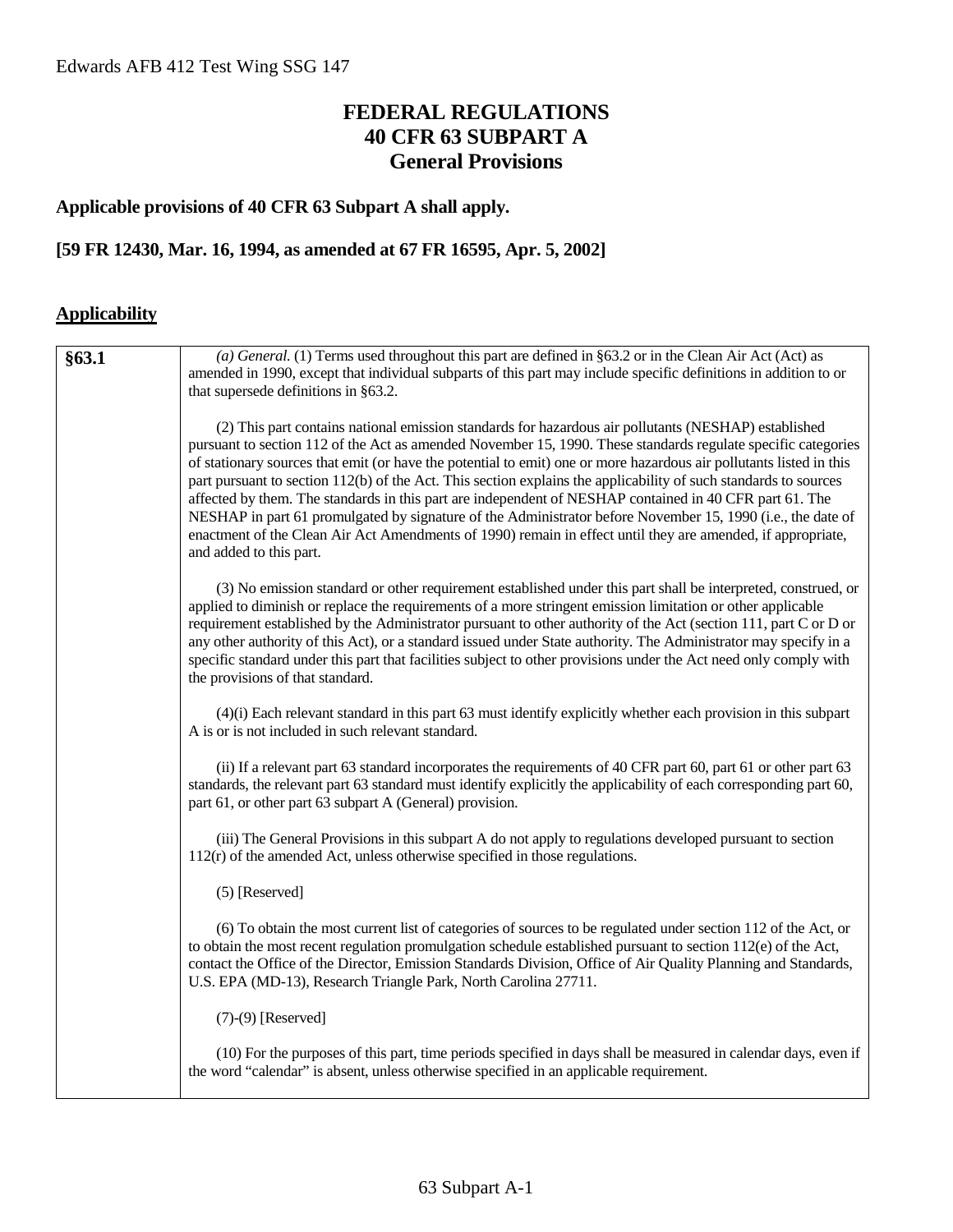# **FEDERAL REGULATIONS 40 CFR 63 SUBPART A General Provisions**

#### **Applicable provisions of 40 CFR 63 Subpart A shall apply.**

#### **[59 FR 12430, Mar. 16, 1994, as amended at 67 FR 16595, Apr. 5, 2002]**

#### **Applicability**

| §63.1 | (a) General. (1) Terms used throughout this part are defined in $\S63.2$ or in the Clean Air Act (Act) as<br>amended in 1990, except that individual subparts of this part may include specific definitions in addition to or<br>that supersede definitions in §63.2.                                                                                                                                                                                                                                                                                                                                                                                                                                                                                                                                                                |
|-------|--------------------------------------------------------------------------------------------------------------------------------------------------------------------------------------------------------------------------------------------------------------------------------------------------------------------------------------------------------------------------------------------------------------------------------------------------------------------------------------------------------------------------------------------------------------------------------------------------------------------------------------------------------------------------------------------------------------------------------------------------------------------------------------------------------------------------------------|
|       | (2) This part contains national emission standards for hazardous air pollutants (NESHAP) established<br>pursuant to section 112 of the Act as amended November 15, 1990. These standards regulate specific categories<br>of stationary sources that emit (or have the potential to emit) one or more hazardous air pollutants listed in this<br>part pursuant to section 112(b) of the Act. This section explains the applicability of such standards to sources<br>affected by them. The standards in this part are independent of NESHAP contained in 40 CFR part 61. The<br>NESHAP in part 61 promulgated by signature of the Administrator before November 15, 1990 (i.e., the date of<br>enactment of the Clean Air Act Amendments of 1990) remain in effect until they are amended, if appropriate,<br>and added to this part. |
|       | (3) No emission standard or other requirement established under this part shall be interpreted, construed, or<br>applied to diminish or replace the requirements of a more stringent emission limitation or other applicable<br>requirement established by the Administrator pursuant to other authority of the Act (section 111, part C or D or<br>any other authority of this Act), or a standard issued under State authority. The Administrator may specify in a<br>specific standard under this part that facilities subject to other provisions under the Act need only comply with<br>the provisions of that standard.                                                                                                                                                                                                        |
|       | $(4)(i)$ Each relevant standard in this part 63 must identify explicitly whether each provision in this subpart<br>A is or is not included in such relevant standard.                                                                                                                                                                                                                                                                                                                                                                                                                                                                                                                                                                                                                                                                |
|       | (ii) If a relevant part 63 standard incorporates the requirements of 40 CFR part 60, part 61 or other part 63<br>standards, the relevant part 63 standard must identify explicitly the applicability of each corresponding part 60,<br>part 61, or other part 63 subpart A (General) provision.                                                                                                                                                                                                                                                                                                                                                                                                                                                                                                                                      |
|       | (iii) The General Provisions in this subpart A do not apply to regulations developed pursuant to section<br>$112(r)$ of the amended Act, unless otherwise specified in those regulations.                                                                                                                                                                                                                                                                                                                                                                                                                                                                                                                                                                                                                                            |
|       | (5) [Reserved]                                                                                                                                                                                                                                                                                                                                                                                                                                                                                                                                                                                                                                                                                                                                                                                                                       |
|       | (6) To obtain the most current list of categories of sources to be regulated under section 112 of the Act, or<br>to obtain the most recent regulation promulgation schedule established pursuant to section $112(e)$ of the Act,<br>contact the Office of the Director, Emission Standards Division, Office of Air Quality Planning and Standards,<br>U.S. EPA (MD-13), Research Triangle Park, North Carolina 27711.                                                                                                                                                                                                                                                                                                                                                                                                                |
|       | $(7)-(9)$ [Reserved]                                                                                                                                                                                                                                                                                                                                                                                                                                                                                                                                                                                                                                                                                                                                                                                                                 |
|       | (10) For the purposes of this part, time periods specified in days shall be measured in calendar days, even if<br>the word "calendar" is absent, unless otherwise specified in an applicable requirement.                                                                                                                                                                                                                                                                                                                                                                                                                                                                                                                                                                                                                            |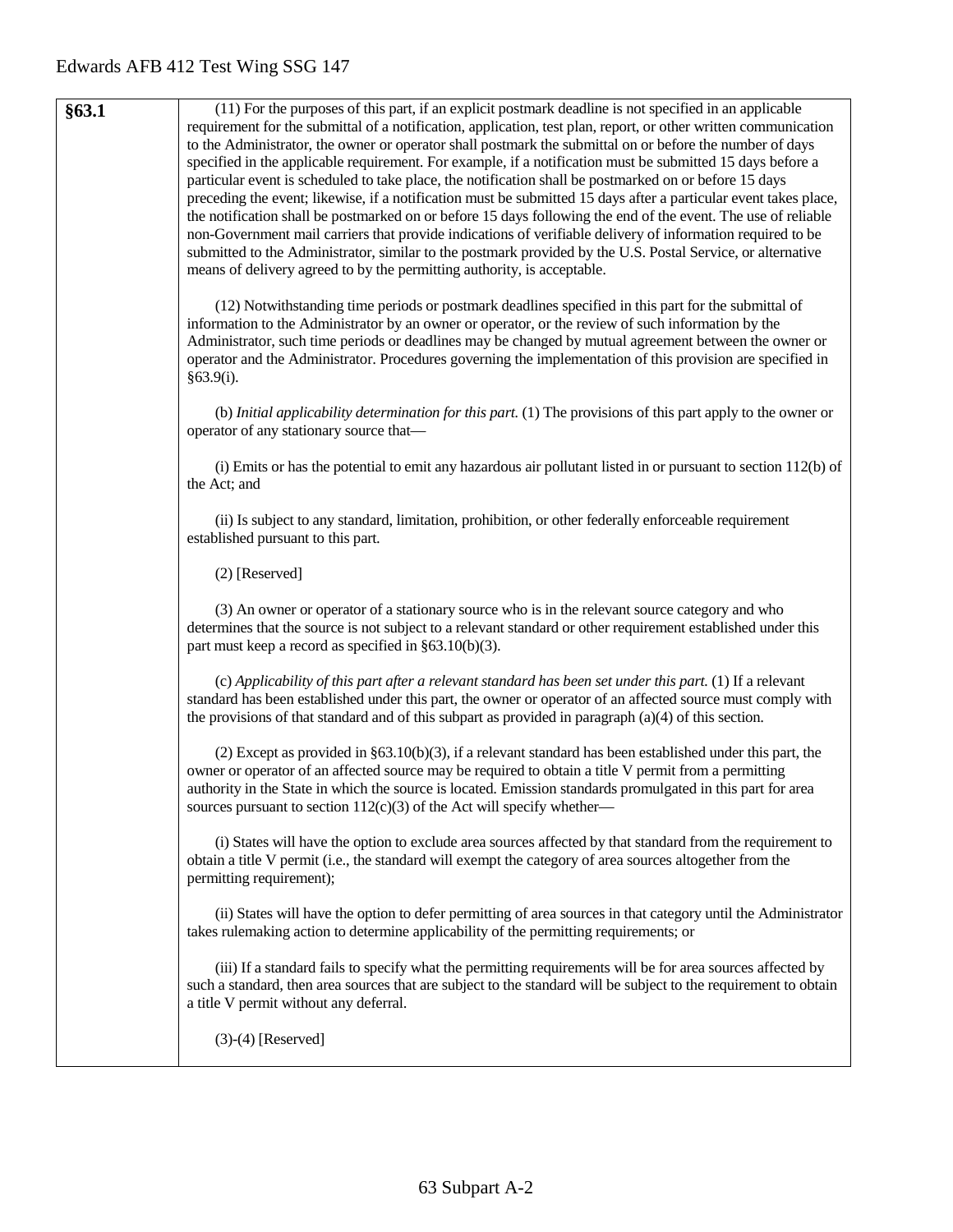**§63.1** (11) For the purposes of this part, if an explicit postmark deadline is not specified in an applicable requirement for the submittal of a notification, application, test plan, report, or other written communication to the Administrator, the owner or operator shall postmark the submittal on or before the number of days specified in the applicable requirement. For example, if a notification must be submitted 15 days before a particular event is scheduled to take place, the notification shall be postmarked on or before 15 days preceding the event; likewise, if a notification must be submitted 15 days after a particular event takes place, the notification shall be postmarked on or before 15 days following the end of the event. The use of reliable non-Government mail carriers that provide indications of verifiable delivery of information required to be submitted to the Administrator, similar to the postmark provided by the U.S. Postal Service, or alternative means of delivery agreed to by the permitting authority, is acceptable. (12) Notwithstanding time periods or postmark deadlines specified in this part for the submittal of information to the Administrator by an owner or operator, or the review of such information by the Administrator, such time periods or deadlines may be changed by mutual agreement between the owner or operator and the Administrator. Procedures governing the implementation of this provision are specified in §63.9(i). (b) *Initial applicability determination for this part.* (1) The provisions of this part apply to the owner or operator of any stationary source that— (i) Emits or has the potential to emit any hazardous air pollutant listed in or pursuant to section 112(b) of the Act; and (ii) Is subject to any standard, limitation, prohibition, or other federally enforceable requirement established pursuant to this part. (2) [Reserved] (3) An owner or operator of a stationary source who is in the relevant source category and who determines that the source is not subject to a relevant standard or other requirement established under this part must keep a record as specified in §63.10(b)(3). (c) *Applicability of this part after a relevant standard has been set under this part.* (1) If a relevant standard has been established under this part, the owner or operator of an affected source must comply with the provisions of that standard and of this subpart as provided in paragraph (a)(4) of this section. (2) Except as provided in §63.10(b)(3), if a relevant standard has been established under this part, the owner or operator of an affected source may be required to obtain a title V permit from a permitting authority in the State in which the source is located. Emission standards promulgated in this part for area sources pursuant to section  $112(c)(3)$  of the Act will specify whether— (i) States will have the option to exclude area sources affected by that standard from the requirement to obtain a title V permit (i.e., the standard will exempt the category of area sources altogether from the permitting requirement); (ii) States will have the option to defer permitting of area sources in that category until the Administrator takes rulemaking action to determine applicability of the permitting requirements; or (iii) If a standard fails to specify what the permitting requirements will be for area sources affected by such a standard, then area sources that are subject to the standard will be subject to the requirement to obtain a title V permit without any deferral. (3)-(4) [Reserved]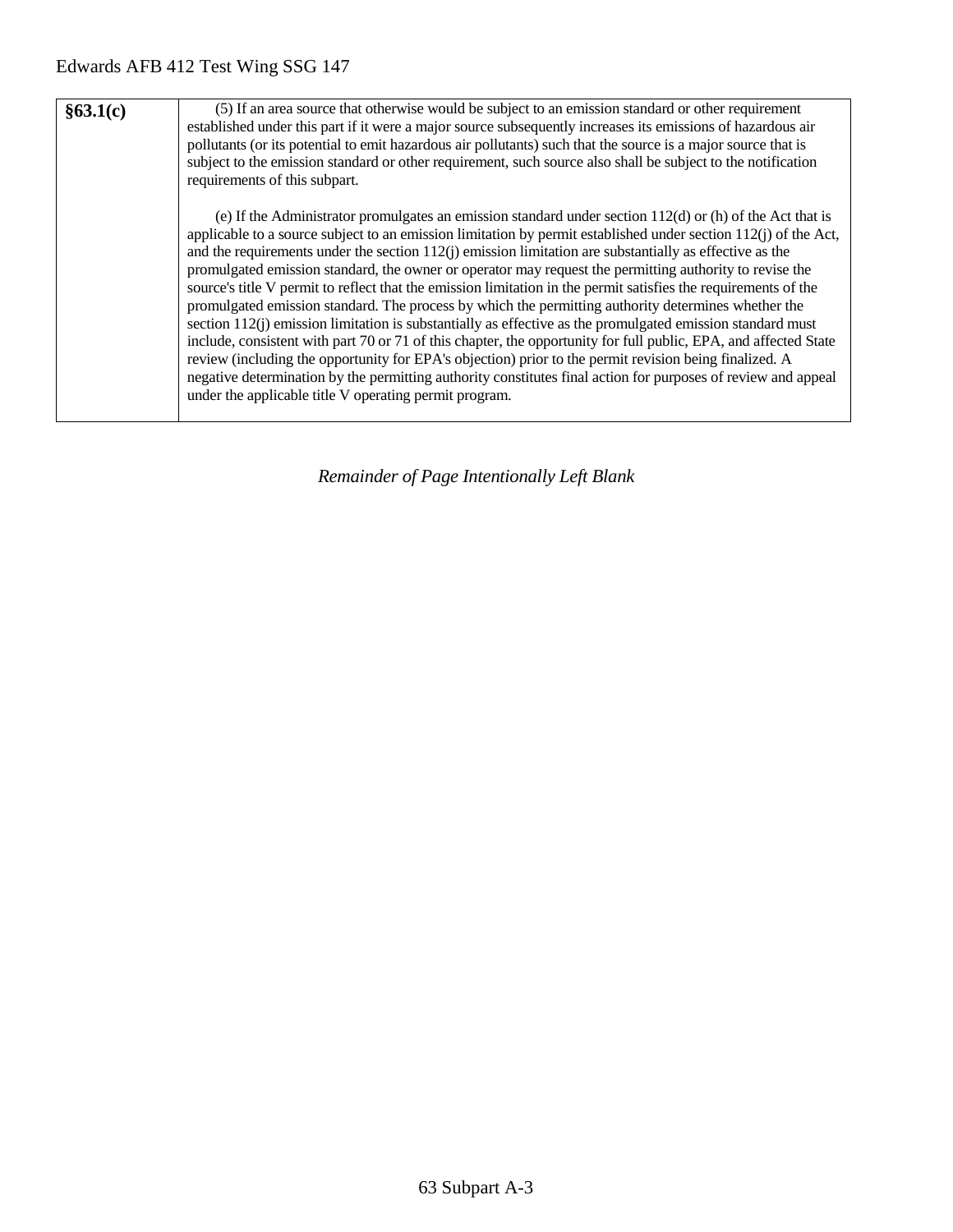| §63.1(c) | (5) If an area source that otherwise would be subject to an emission standard or other requirement<br>established under this part if it were a major source subsequently increases its emissions of hazardous air<br>pollutants (or its potential to emit hazardous air pollutants) such that the source is a major source that is<br>subject to the emission standard or other requirement, such source also shall be subject to the notification<br>requirements of this subpart.                                                                                                                                                                                                                                                                                                                                                                                                                                                                                                                                                                                                                                                                                                                        |  |  |  |  |
|----------|------------------------------------------------------------------------------------------------------------------------------------------------------------------------------------------------------------------------------------------------------------------------------------------------------------------------------------------------------------------------------------------------------------------------------------------------------------------------------------------------------------------------------------------------------------------------------------------------------------------------------------------------------------------------------------------------------------------------------------------------------------------------------------------------------------------------------------------------------------------------------------------------------------------------------------------------------------------------------------------------------------------------------------------------------------------------------------------------------------------------------------------------------------------------------------------------------------|--|--|--|--|
|          | (e) If the Administrator promulgates an emission standard under section $112(d)$ or (h) of the Act that is<br>applicable to a source subject to an emission limitation by permit established under section $112(i)$ of the Act,<br>and the requirements under the section $112(i)$ emission limitation are substantially as effective as the<br>promulgated emission standard, the owner or operator may request the permitting authority to revise the<br>source's title V permit to reflect that the emission limitation in the permit satisfies the requirements of the<br>promulgated emission standard. The process by which the permitting authority determines whether the<br>section $112(i)$ emission limitation is substantially as effective as the promulgated emission standard must<br>include, consistent with part 70 or 71 of this chapter, the opportunity for full public, EPA, and affected State<br>review (including the opportunity for EPA's objection) prior to the permit revision being finalized. A<br>negative determination by the permitting authority constitutes final action for purposes of review and appeal<br>under the applicable title V operating permit program. |  |  |  |  |